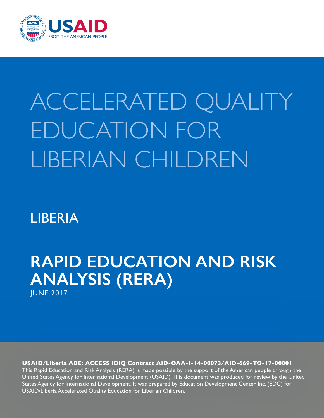

# ACCELERATED QUALITY EDUCATION FOR LIBERIAN CHILDREN

# LIBERIA

# **RAPID EDUCATION AND RISK ANALYSIS (RERA)** JUNE 2017

**USAID/Liberia ABE: ACCESS IDIQ Contract AID-OAA-I-14-00073/AID-669-TO-17-00001** This Rapid Education and Risk Analysis (RERA) is made possible by the support of the American people through the United States Agency for International Development (USAID). This document was produced for review by the United States Agency for International Development. It was prepared by Education Development Center, Inc. (EDC) for USAID/Liberia Accelerated Quality Education for Liberian Children.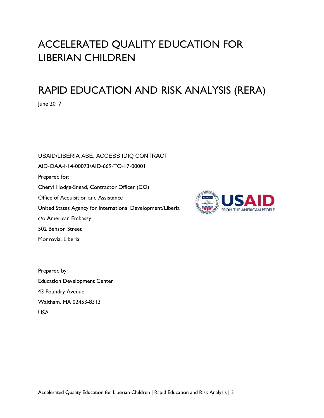# ACCELERATED QUALITY EDUCATION FOR LIBERIAN CHILDREN

# RAPID EDUCATION AND RISK ANALYSIS (RERA)

June 2017

USAID/LIBERIA ABE: ACCESS IDIQ CONTRACT AID-OAA-I-14-00073/AID-669-TO-17-00001 Prepared for: Cheryl Hodge-Snead, Contractor Officer (CO) Office of Acquisition and Assistance United States Agency for International Development/Liberia c/o American Embassy 502 Benson Street Monrovia, Liberia



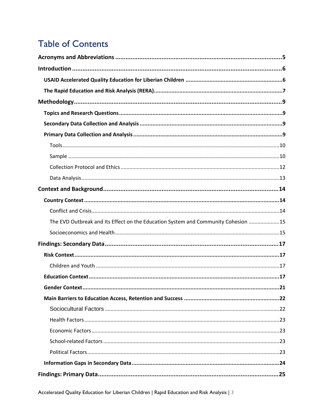# **Table of Contents**

| The EVD Outbreak and Its Effect on the Education System and Community Cohesion 15 |  |
|-----------------------------------------------------------------------------------|--|
|                                                                                   |  |
|                                                                                   |  |
|                                                                                   |  |
|                                                                                   |  |
|                                                                                   |  |
|                                                                                   |  |
|                                                                                   |  |
|                                                                                   |  |
|                                                                                   |  |
|                                                                                   |  |
|                                                                                   |  |
|                                                                                   |  |
|                                                                                   |  |
|                                                                                   |  |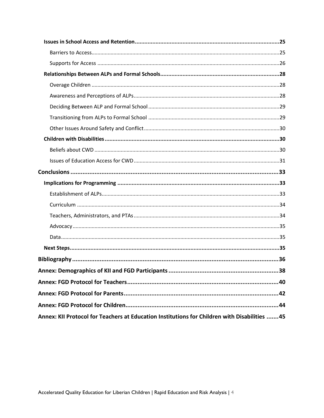| Annex: KII Protocol for Teachers at Education Institutions for Children with Disabilities 45 |  |
|----------------------------------------------------------------------------------------------|--|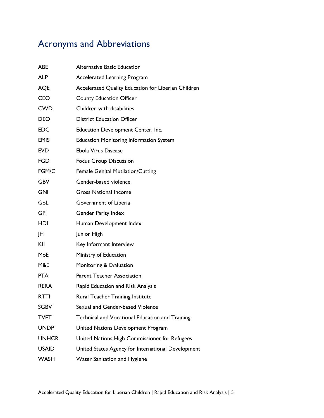# <span id="page-4-0"></span>Acronyms and Abbreviations

| <b>ABE</b>   | <b>Alternative Basic Education</b>                  |
|--------------|-----------------------------------------------------|
| <b>ALP</b>   | <b>Accelerated Learning Program</b>                 |
| <b>AQE</b>   | Accelerated Quality Education for Liberian Children |
| <b>CEO</b>   | <b>County Education Officer</b>                     |
| <b>CWD</b>   | Children with disabilities                          |
| <b>DEO</b>   | <b>District Education Officer</b>                   |
| <b>EDC</b>   | Education Development Center, Inc.                  |
| <b>EMIS</b>  | <b>Education Monitoring Information System</b>      |
| <b>EVD</b>   | Ebola Virus Disease                                 |
| <b>FGD</b>   | <b>Focus Group Discussion</b>                       |
| FGM/C        | <b>Female Genital Mutilation/Cutting</b>            |
| <b>GBV</b>   | Gender-based violence                               |
| <b>GNI</b>   | <b>Gross National Income</b>                        |
| GoL          | Government of Liberia                               |
| <b>GPI</b>   | <b>Gender Parity Index</b>                          |
| HDI          | Human Development Index                             |
| JH           | Junior High                                         |
| KII          | Key Informant Interview                             |
| MoE          | Ministry of Education                               |
| M&E          | Monitoring & Evaluation                             |
| <b>PTA</b>   | <b>Parent Teacher Association</b>                   |
| <b>RERA</b>  | Rapid Education and Risk Analysis                   |
| <b>RTTI</b>  | Rural Teacher Training Institute                    |
| SGBV         | Sexual and Gender-based Violence                    |
| TVET         | Technical and Vocational Education and Training     |
| <b>UNDP</b>  | United Nations Development Program                  |
| <b>UNHCR</b> | United Nations High Commissioner for Refugees       |
| <b>USAID</b> | United States Agency for International Development  |
| <b>WASH</b>  | Water Sanitation and Hygiene                        |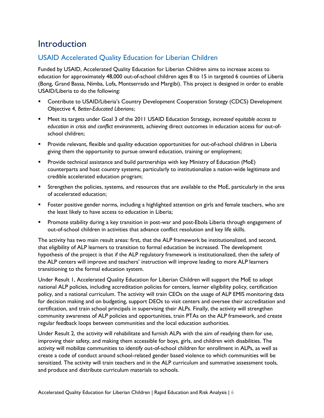### <span id="page-5-0"></span>**Introduction**

#### <span id="page-5-1"></span>USAID Accelerated Quality Education for Liberian Children

Funded by USAID, Accelerated Quality Education for Liberian Children aims to increase access to education for approximately 48,000 out-of-school children ages 8 to 15 in targeted 6 counties of Liberia (Bong, Grand Bassa, Nimba, Lofa, Montserrado and Margibi). This project is designed in order to enable USAID/Liberia to do the following:

- Contribute to USAID/Liberia's Country Development Cooperation Strategy (CDCS) Development Objective 4, *Better-Educated Liberians*;
- Meet its targets under Goal 3 of the 2011 USAID Education Strategy, *increased equitable access to education in crisis and conflict environments,* achieving direct outcomes in education access for out-ofschool children;
- **•** Provide relevant, flexible and quality education opportunities for out-of-school children in Liberia giving them the opportunity to pursue onward education, training or employment;
- **•** Provide technical assistance and build partnerships with key Ministry of Education (MoE) counterparts and host country systems; particularly to institutionalize a nation-wide legitimate and credible accelerated education program;
- Strengthen the policies, systems, and resources that are available to the MoE, particularly in the area of accelerated education;
- Foster positive gender norms, including a highlighted attention on girls and female teachers, who are the least likely to have access to education in Liberia;
- Promote stability during a key transition in post-war and post-Ebola Liberia through engagement of out-of-school children in activities that advance conflict resolution and key life skills.

The activity has two main result areas: first, that the ALP framework be institutionalized, and second, that eligibility of ALP learners to transition to formal education be increased. The development hypothesis of the project is that if the ALP regulatory framework is institutionalized, then the safety of the ALP centers will improve and teachers' instruction will improve leading to more ALP learners transitioning to the formal education system.

Under Result 1, Accelerated Quality Education for Liberian Children will support the MoE to adopt national ALP policies, including accreditation policies for centers, learner eligibility policy, certification policy, and a national curriculum. The activity will train CEOs on the usage of ALP EMIS monitoring data for decision making and on budgeting, support DEOs to visit centers and oversee their accreditation and certification, and train school principals in supervising their ALPs. Finally, the activity will strengthen community awareness of ALP policies and opportunities, train PTAs on the ALP framework, and create regular feedback loops between communities and the local education authorities.

Under Result 2, the activity will rehabilitate and furnish ALPs with the aim of readying them for use, improving their safety, and making them accessible for boys, girls, and children with disabilities. The activity will mobilize communities to identify out-of-school children for enrollment in ALPs, as well as create a code of conduct around school-related gender based violence to which communities will be sensitized. The activity will train teachers and in the ALP curriculum and summative assessment tools, and produce and distribute curriculum materials to schools.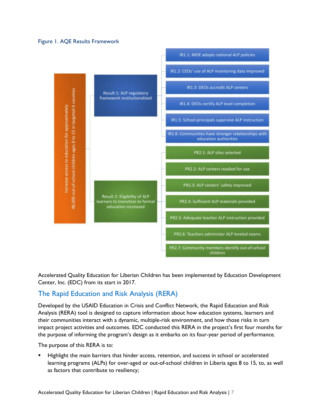#### Figure 1. AQE Results Framework



Accelerated Quality Education for Liberian Children has been implemented by Education Development Center, Inc. (EDC) from its start in 2017.

#### <span id="page-6-0"></span>The Rapid Education and Risk Analysis (RERA)

Developed by the USAID Education in Crisis and Conflict Network, the Rapid Education and Risk Analysis (RERA) tool is designed to capture information about how education systems, learners and their communities interact with a dynamic, multiple-risk environment, and how those risks in turn impact project activities and outcomes. EDC conducted this RERA in the project's first four months for the purpose of informing the program's design as it embarks on its four-year period of performance.

The purpose of this RERA is to:

Highlight the main barriers that hinder access, retention, and success in school or accelerated learning programs (ALPs) for over-aged or out-of-school children in Liberia ages 8 to 15, to, as well as factors that contribute to resiliency;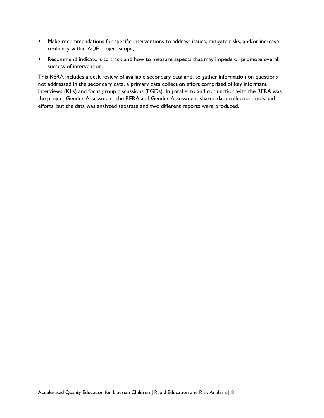- Make recommendations for specific interventions to address issues, mitigate risks, and/or increase resiliency within AQE project scope;
- Recommend indicators to track and how to measure aspects that may impede or promote overall success of intervention.

This RERA includes a desk review of available secondary data and, to gather information on questions not addressed in the secondary data, a primary data collection effort comprised of key informant interviews (KIIs) and focus group discussions (FGDs). In parallel to and conjunction with the RERA was the project Gender Assessment; the RERA and Gender Assessment shared data collection tools and efforts, but the data was analyzed separate and two different reports were produced.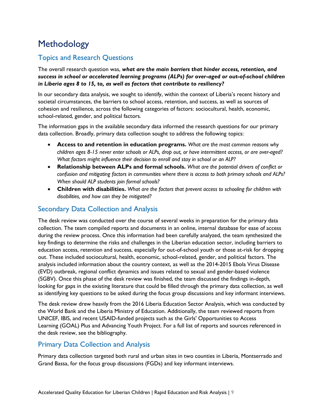# <span id="page-8-0"></span>**Methodology**

#### <span id="page-8-1"></span>Topics and Research Questions

The overall research question was, *what are the main barriers that hinder access, retention, and success in school or accelerated learning programs (ALPs) for over-aged or out-of-school children in Liberia ages 8 to 15, to, as well as factors that contribute to resiliency?*

In our secondary data analysis, we sought to identify, within the context of Liberia's recent history and societal circumstances, the barriers to school access, retention, and success, as well as sources of cohesion and resilience, across the following categories of factors: sociocultural, health, economic, school-related, gender, and political factors.

The information gaps in the available secondary data informed the research questions for our primary data collection. Broadly, primary data collection sought to address the following topics:

- **Access to and retention in education programs.** *What are the most common reasons why children ages 8-15 never enter schools or ALPs, drop out, or have intermittent access, or are over-aged? What factors might influence their decision to enroll and stay in school or an ALP?*
- **Relationship between ALPs and formal schools.** *What are the potential drivers of conflict or confusion and mitigating factors in communities where there is access to both primary schools and ALPs? When should ALP students join formal schools?*
- **Children with disabilities.** *What are the factors that prevent access to schooling for children with disabilities, and how can they be mitigated?*

#### <span id="page-8-2"></span>Secondary Data Collection and Analysis

The desk review was conducted over the course of several weeks in preparation for the primary data collection. The team compiled reports and documents in an online, internal database for ease of access during the review process. Once this information had been carefully analyzed, the team synthesized the key findings to determine the risks and challenges in the Liberian education sector, including barriers to education access, retention and success, especially for out-of-school youth or those at-risk for dropping out. These included sociocultural, health, economic, school-related, gender, and political factors. The analysis included information about the country context, as well as the 2014-2015 Ebola Virus Disease (EVD) outbreak, regional conflict dynamics and issues related to sexual and gender-based violence (SGBV). Once this phase of the desk review was finished, the team discussed the findings in-depth, looking for gaps in the existing literature that could be filled through the primary data collection, as well as identifying key questions to be asked during the focus group discussions and key informant interviews.

The desk review drew heavily from the 2016 Liberia Education Sector Analysis, which was conducted by the World Bank and the Liberia Ministry of Education. Additionally, the team reviewed reports from UNICEF, IBIS, and recent USAID-funded projects such as the Girls' Opportunities to Access Learning (GOAL) Plus and Advancing Youth Project. For a full list of reports and sources referenced in the desk review, see the bibliography.

#### <span id="page-8-3"></span>Primary Data Collection and Analysis

Primary data collection targeted both rural and urban sites in two counties in Liberia, Montserrado and Grand Bassa, for the focus group discussions (FGDs) and key informant interviews.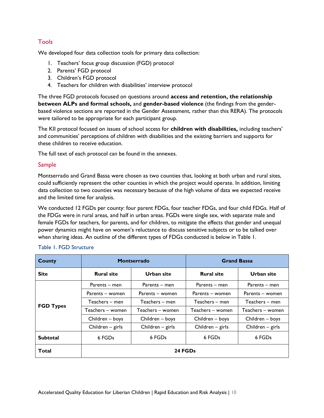#### <span id="page-9-0"></span>Tools

We developed four data collection tools for primary data collection:

- 1. Teachers' focus group discussion (FGD) protocol
- 2. Parents' FGD protocol
- 3. Children's FGD protocol
- 4. Teachers for children with disabilities' interview protocol

The three FGD protocols focused on questions around **access and retention, the relationship between ALPs and formal schools,** and **gender-based violence** (the findings from the genderbased violence sections are reported in the Gender Assessment, rather than this RERA). The protocols were tailored to be appropriate for each participant group.

The KII protocol focused on issues of school access for **children with disabilities,** including teachers' and communities' perceptions of children with disabilities and the existing barriers and supports for these children to receive education.

The full text of each protocol can be found in the annexes.

#### <span id="page-9-1"></span>Sample

Montserrado and Grand Bassa were chosen as two counties that, looking at both urban and rural sites, could sufficiently represent the other counties in which the project would operate. In addition, limiting data collection to two counties was necessary because of the high volume of data we expected receive and the limited time for analysis.

We conducted 12 FGDs per county: four parent FDGs, four teacher FDGs, and four child FDGs. Half of the FDGs were in rural areas, and half in urban areas. FGDs were single sex, with separate male and female FGDs for teachers, for parents, and for children, to mitigate the effects that gender and unequal power dynamics might have on women's reluctance to discuss sensitive subjects or to be talked over when sharing ideas. An outline of the different types of FDGs conducted is below in Table 1.

| County                    |                    | Montserrado        | <b>Grand Bassa</b> |                  |  |  |  |
|---------------------------|--------------------|--------------------|--------------------|------------------|--|--|--|
| <b>Site</b>               | <b>Rural site</b>  | Urban site         | <b>Rural site</b>  | Urban site       |  |  |  |
|                           | Parents $-$ men    | Parents – men      | Parents – men      | Parents $-$ men  |  |  |  |
|                           | Parents – women    | Parents – women    | Parents – women    | Parents – women  |  |  |  |
| <b>FGD Types</b>          | Teachers – men     | Teachers – men     | Teachers – men     | Teachers – men   |  |  |  |
|                           | Teachers - women   | Teachers - women   | Teachers - women   | Teachers - women |  |  |  |
|                           | Children – boys    | Children – boys    | Children – boys    | Children - boys  |  |  |  |
|                           | Children $-$ girls | Children $-$ girls | Children $-$ girls | Children - girls |  |  |  |
| <b>Subtotal</b><br>6 FGDs |                    | 6 FGDs             | 6 FGDs             | 6 FGDs           |  |  |  |
| Total                     | 24 FGDs            |                    |                    |                  |  |  |  |

#### Table 1. FGD Structure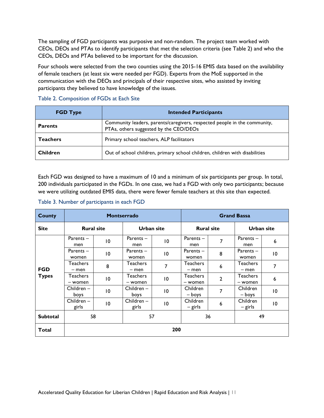The sampling of FGD participants was purposive and non-random. The project team worked with CEOs, DEOs and PTAs to identify participants that met the selection criteria (see Table 2) and who the CEOs, DEOs and PTAs believed to be important for the discussion.

Four schools were selected from the two counties using the 2015-16 EMIS data based on the availability of female teachers (at least six were needed per FGD). Experts from the MoE supported in the communication with the DEOs and principals of their respective sites, who assisted by inviting participants they believed to have knowledge of the issues.

| <b>FGD Type</b> | <b>Intended Participants</b>                                                                                        |  |  |  |  |  |  |
|-----------------|---------------------------------------------------------------------------------------------------------------------|--|--|--|--|--|--|
| <b>Parents</b>  | Community leaders, parents/caregivers, respected people in the community,<br>PTAs, others suggested by the CEO/DEOs |  |  |  |  |  |  |
| <b>Teachers</b> | Primary school teachers, ALP facilitators                                                                           |  |  |  |  |  |  |
| <b>Children</b> | Out of school children, primary school children, children with disabilities                                         |  |  |  |  |  |  |

#### Table 2. Composition of FGDs at Each Site

Each FGD was designed to have a maximum of 10 and a minimum of six participants per group. In total, 200 individuals participated in the FGDs. In one case, we had a FGD with only two participants; because we were utilizing outdated EMIS data, there were fewer female teachers at this site than expected.

#### Table 3. Number of participants in each FGD

| <b>County</b>              |                       |                 | <b>Montserrado</b>   | <b>Grand Bassa</b> |                            |                  |                      |                 |  |  |
|----------------------------|-----------------------|-----------------|----------------------|--------------------|----------------------------|------------------|----------------------|-----------------|--|--|
| <b>Site</b>                | <b>Rural site</b>     |                 | <b>Urban site</b>    |                    | <b>Rural site</b>          |                  | <b>Urban site</b>    |                 |  |  |
|                            | Parents -<br>men      | $\overline{0}$  | Parents -<br>men     | 10                 | Parents -<br>men           | 7                | Parents-<br>men      | 6               |  |  |
|                            | Parents $-$<br>women  | 10              | Parents $-$<br>women | $\overline{10}$    | Parents $-$<br>women       | 8                | Parents $-$<br>women | $\overline{10}$ |  |  |
| <b>FGD</b><br><b>Types</b> | Teachers<br>– men     | 8               | Teachers<br>$-$ men  | 7                  | <b>Teachers</b><br>- men   | $\boldsymbol{6}$ | Teachers<br>- men    | 7               |  |  |
|                            | Teachers<br>- women   | $\overline{10}$ | Teachers<br>- women  | 10                 | <b>Teachers</b><br>- women | $\overline{2}$   | Teachers<br>- women  | 6               |  |  |
|                            | $Childeren -$<br>boys | $\overline{10}$ | $Children -$<br>boys | 10                 | Children<br>– boys         | 7                | Children<br>– boys   | $\overline{10}$ |  |  |
|                            | Children-<br>girls    | $\overline{10}$ | Children-<br>girls   | $\overline{10}$    | Children<br>– girls        | $\boldsymbol{6}$ | Children<br>– girls  | $\overline{10}$ |  |  |
| <b>Subtotal</b>            | 57<br>58              |                 |                      | 49<br>36           |                            |                  |                      |                 |  |  |
| Total                      | 200                   |                 |                      |                    |                            |                  |                      |                 |  |  |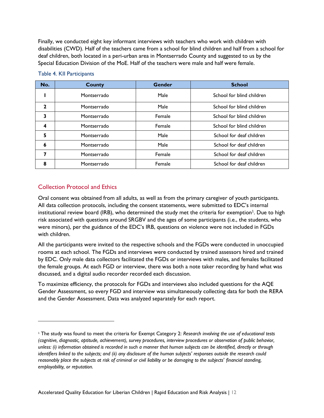Finally, we conducted eight key informant interviews with teachers who work with children with disabilities (CWD). Half of the teachers came from a school for blind children and half from a school for deaf children, both located in a peri-urban area in Montserrado County and suggested to us by the Special Education Division of the MoE. Half of the teachers were male and half were female.

| No. | <b>County</b> | Gender | <b>School</b>             |
|-----|---------------|--------|---------------------------|
|     | Montserrado   | Male   | School for blind children |
| 2   | Montserrado   | Male   | School for blind children |
| 3   | Montserrado   | Female | School for blind children |
| 4   | Montserrado   | Female | School for blind children |
| 5   | Montserrado   | Male   | School for deaf children  |
| 6   | Montserrado   | Male   | School for deaf children  |
| 7   | Montserrado   | Female | School for deaf children  |
| 8   | Montserrado   | Female | School for deaf children  |

#### Table 4. KII Participants

#### <span id="page-11-0"></span>Collection Protocol and Ethics

 $\overline{a}$ 

Oral consent was obtained from all adults, as well as from the primary caregiver of youth participants. All data collection protocols, including the consent statements, were submitted to EDC's internal institutional review board (IRB), who determined the study met the criteria for exemption<sup>1</sup>. Due to high risk associated with questions around SRGBV and the ages of some participants (i.e., the students, who were minors), per the guidance of the EDC's IRB, questions on violence were not included in FGDs with children.

All the participants were invited to the respective schools and the FGDs were conducted in unoccupied rooms at each school. The FGDs and interviews were conducted by trained assessors hired and trained by EDC. Only male data collectors facilitated the FGDs or interviews with males, and females facilitated the female groups. At each FGD or interview, there was both a note taker recording by hand what was discussed, and a digital audio recorder recorded each discussion.

To maximize efficiency, the protocols for FGDs and interviews also included questions for the AQE Gender Assessment, so every FGD and interview was simultaneously collecting data for both the RERA and the Gender Assessment. Data was analyzed separately for each report.

<sup>1</sup> The study was found to meet the criteria for Exempt Category 2: *Research involving the use of educational tests (cognitive, diagnostic, aptitude, achievement), survey procedures, interview procedures or observation of public behavior, unless: (i) information obtained is recorded in such a manner that human subjects can be identified, directly or through identifiers linked to the subjects; and (ii) any disclosure of the human subjects' responses outside the research could reasonably place the subjects at risk of criminal or civil liability or be damaging to the subjects' financial standing, employability, or reputation.*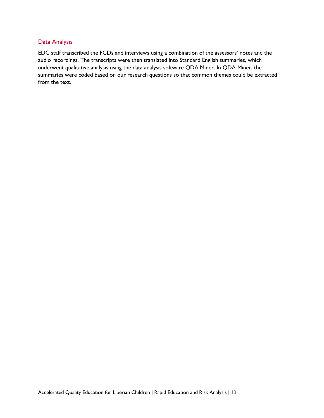#### <span id="page-12-0"></span>Data Analysis

EDC staff transcribed the FGDs and interviews using a combination of the assessors' notes and the audio recordings. The transcripts were then translated into Standard English summaries, which underwent qualitative analysis using the data analysis software QDA Miner. In QDA Miner, the summaries were coded based on our research questions so that common themes could be extracted from the text.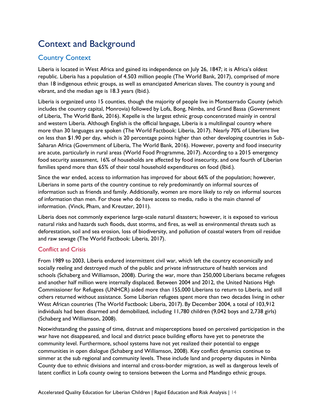# <span id="page-13-0"></span>Context and Background

#### <span id="page-13-1"></span>Country Context

Liberia is located in West Africa and gained its independence on July 26, 1847; it is Africa's oldest republic. Liberia has a population of 4.503 million people (The World Bank, 2017), comprised of more than 18 indigenous ethnic groups, as well as emancipated American slaves. The country is young and vibrant, and the median age is 18.3 years (Ibid.).

Liberia is organized unto 15 counties, though the majority of people live in Montserrado County (which includes the country capital, Monrovia) followed by Lofa, Bong, Nimba, and Grand Bassa (Government of Liberia, The World Bank, 2016). Kepelle is the largest ethnic group concentrated mainly in central and western Liberia. Although English is the official language, Liberia is a multilingual country where more than 30 languages are spoken (The World Factbook: Liberia, 2017). Nearly 70% of Liberians live on less than \$1.90 per day, which is 20 percentage points higher than other developing countries in Sub-Saharan Africa (Government of Liberia, The World Bank, 2016). However, poverty and food insecurity are acute, particularly in rural areas (World Food Programme, 2017). According to a 2015 [emergency](http://www.wfp.org/content/liberia-emergency-food-security-assessment-june-2015)  [food security assessment,](http://www.wfp.org/content/liberia-emergency-food-security-assessment-june-2015) 16% of households are affected by food insecurity, and one fourth of Liberian families spend more than 65% of their total household expenditures on food (Ibid.).

Since the war ended, access to information has improved for about 66% of the population; however, Liberians in some parts of the country continue to rely predominantly on informal sources of information such as friends and family. Additionally, women are more likely to rely on informal sources of information than men. For those who do have access to media, radio is the main channel of information. (Vinck, Pham, and Kreutzer, 2011).

Liberia does not commonly experience large-scale natural disasters; however, it is exposed to various natural risks and hazards such floods, dust storms, and fires, as well as environmental threats such as deforestation, soil and sea erosion, loss of biodiversity, and pollution of coastal waters from oil residue and raw sewage (The World Factbook: Liberia, 2017).

#### <span id="page-13-2"></span>Conflict and Crisis

From 1989 to 2003, Liberia endured intermittent civil war, which left the country economically and socially reeling and destroyed much of the public and private infrastructure of health services and schools (Schaberg and Williamson, 2008). During the war, more than 250,000 Liberians became refugees and another half million were internally displaced. Between 2004 and 2012, the United Nations High Commissioner for Refugees (UNHCR) aided more than 155,000 Liberians to return to Liberia, and still others returned without assistance. Some Liberian refugees spent more than two decades living in other West African countries (The World Factbook: Liberia, 2017). By December 2004, a total of 103,912 individuals had been disarmed and demobilized, including 11,780 children (9,042 boys and 2,738 girls) (Schaberg and Williamson, 2008).

Notwithstanding the passing of time, distrust and misperceptions based on perceived participation in the war have not disappeared, and local and district peace building efforts have yet to penetrate the community level. Furthermore, school systems have not yet realized their potential to engage communities in open dialogue (Schaberg and Williamson, 2008). Key conflict dynamics continue to simmer at the sub regional and community levels. These include land and property disputes in Nimba County due to ethnic divisions and internal and cross-border migration, as well as dangerous levels of latent conflict in Lofa county owing to tensions between the Lorma and Mandingo ethnic groups.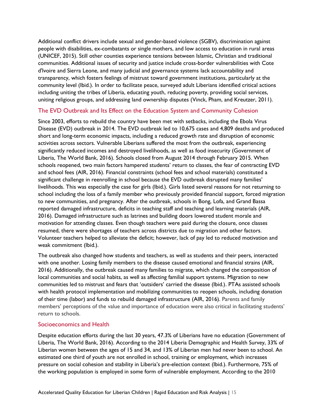Additional conflict drivers include sexual and gender-based violence (SGBV), discrimination against people with disabilities, ex-combatants or single mothers, and low access to education in rural areas (UNICEF, 2015). Still other counties experience tensions between Islamic, Christian and traditional communities. Additional issues of security and justice include cross-border vulnerabilities with Cote d'Ivoire and Sierra Leone, and many judicial and governance systems lack accountability and transparency, which fosters feelings of mistrust toward government institutions, particularly at the community level (Ibid.). In order to facilitate peace, surveyed adult Liberians identified critical actions including uniting the tribes of Liberia, educating youth, reducing poverty, providing social services, uniting religious groups, and addressing land ownership disputes (Vinck, Pham, and Kreutzer, 2011).

#### <span id="page-14-0"></span>The EVD Outbreak and Its Effect on the Education System and Community Cohesion

Since 2003, efforts to rebuild the country have been met with setbacks, including the Ebola Virus Disease (EVD) outbreak in 2014. The EVD outbreak led to 10,675 cases and 4,809 deaths and produced short and long-term economic impacts, including a reduced growth rate and disruption of economic activities across sectors. Vulnerable Liberians suffered the most from the outbreak, experiencing significantly reduced incomes and destroyed livelihoods, as well as food insecurity (Government of Liberia, The World Bank, 2016). Schools closed from August 2014 through February 2015. When schools reopened, two main factors hampered students' return to classes, the fear of contracting EVD and school fees (AIR, 2016). Financial constraints (school fees and school materials) constituted a significant challenge in reenrolling in school because the EVD outbreak disrupted many families' livelihoods. This was especially the case for girls (Ibid.). Girls listed several reasons for not returning to school including the loss of a family member who previously provided financial support, forced migration to new communities, and pregnancy. After the outbreak, schools in Bong, Lofa, and Grand Bassa reported damaged infrastructure, deficits in teaching staff and teaching and learning materials (AIR, 2016). Damaged infrastructure such as latrines and building doors lowered student morale and motivation for attending classes. Even though teachers were paid during the closure, once classes resumed, there were shortages of teachers across districts due to migration and other factors. Volunteer teachers helped to alleviate the deficit; however, lack of pay led to reduced motivation and weak commitment (Ibid.).

The outbreak also changed how students and teachers, as well as students and their peers, interacted with one another. Losing family members to the disease caused emotional and financial strains (AIR, 2016). Additionally, the outbreak caused many families to migrate, which changed the composition of local communities and social habits, as well as affecting familial support systems. Migration to new communities led to mistrust and fears that 'outsiders' carried the disease (Ibid.). PTAs assisted schools with health protocol implementation and mobilizing communities to reopen schools, including donation of their time (labor) and funds to rebuild damaged infrastructure (AIR, 2016). Parents and family members' perceptions of the value and importance of education were also critical in facilitating students' return to schools.

#### <span id="page-14-1"></span>Socioeconomics and Health

Despite education efforts during the last 30 years, 47.3% of Liberians have no education (Government of Liberia, The World Bank, 2016). According to the 2014 Liberia Demographic and Health Survey, 33% of Liberian women between the ages of 15 and 34, and 13% of Liberian men had never been to school. An estimated one third of youth are not enrolled in school, training or employment, which increases pressure on social cohesion and stability in Liberia's pre-election context (Ibid.). Furthermore, 75% of the working population is employed in some form of vulnerable employment. According to the 2010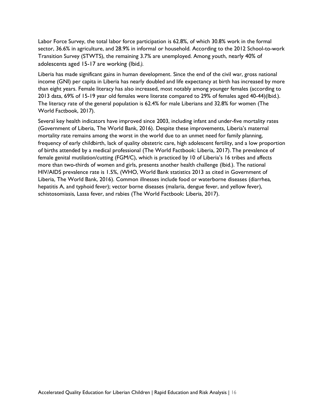Labor Force Survey, the total labor force participation is 62.8%, of which 30.8% work in the formal sector, 36.6% in agriculture, and 28.9% in informal or household. According to the 2012 School-to-work Transition Survey (STWTS), the remaining 3.7% are unemployed. Among youth, nearly 40% of adolescents aged 15-17 are working (Ibid*.).* 

Liberia has made significant gains in human development. Since the end of the civil war, gross national income (GNI) per capita in Liberia has nearly doubled and life expectancy at birth has increased by more than eight years. Female literacy has also increased, most notably among younger females (according to 2013 data, 69% of 15-19 year old females were literate compared to 29% of females aged 40-44)(Ibid.). The literacy rate of the general population is 62.4% for male Liberians and 32.8% for women (The World Factbook, 2017).

Several key health indicators have improved since 2003, including infant and under-five mortality rates (Government of Liberia, The World Bank, 2016). Despite these improvements, Liberia's maternal mortality rate remains among the worst in the world due to an unmet need for family planning, frequency of early childbirth, lack of quality obstetric care, high adolescent fertility, and a low proportion of births attended by a medical professional (The World Factbook: Liberia, 2017). The prevalence of female genital mutilation/cutting (FGM/C), which is practiced by 10 of Liberia's 16 tribes and affects more than two-thirds of women and girls, presents another health challenge (Ibid.). The national HIV/AIDS prevalence rate is 1.5%, (WHO, World Bank statistics 2013 as cited in Government of Liberia, The World Bank, 2016). Common illnesses include food or waterborne diseases (diarrhea, hepatitis A, and typhoid fever); vector borne diseases (malaria, dengue fever, and yellow fever), schistosomiasis, Lassa fever, and rabies (The World Factbook: Liberia, 2017).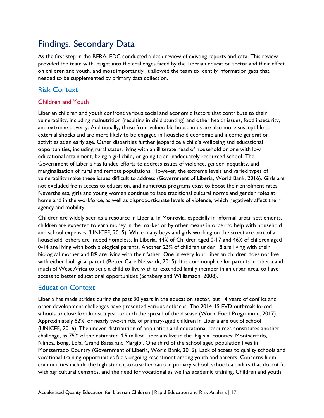# <span id="page-16-0"></span>Findings: Secondary Data

As the first step in the RERA, EDC conducted a desk review of existing reports and data. This review provided the team with insight into the challenges faced by the Liberian education sector and their effect on children and youth, and most importantly, it allowed the team to identify information gaps that needed to be supplemented by primary data collection.

#### <span id="page-16-1"></span>Risk Context

#### <span id="page-16-2"></span>Children and Youth

Liberian children and youth confront various social and economic factors that contribute to their vulnerability, including malnutrition (resulting in child stunting) and other health issues, food insecurity, and extreme poverty. Additionally, those from vulnerable households are also more susceptible to external shocks and are more likely to be engaged in household economic and income generation activities at an early age. Other disparities further jeopardize a child's wellbeing and educational opportunities, including rural status, living with an illiterate head of household or one with low educational attainment, being a girl child, or going to an inadequately resourced school. The Government of Liberia has funded efforts to address issues of violence, gender inequality, and marginalization of rural and remote populations. However, the extreme levels and varied types of vulnerability make these issues difficult to address (Government of Liberia, World Bank, 2016). Girls are not excluded from access to education, and numerous programs exist to boost their enrolment rates. Nevertheless, girls and young women continue to face traditional cultural norms and gender roles at home and in the workforce, as well as disproportionate levels of violence, which negatively affect their agency and mobility.

Children are widely seen as a resource in Liberia. In Monrovia, especially in informal urban settlements, children are expected to earn money in the market or by other means in order to help with household and school expenses (UNICEF, 2015). While many boys and girls working on the street are part of a household, others are indeed homeless. In Liberia, 44% of Children aged 0-17 and 46% of children aged 0-14 are living with both biological parents. Another 23% of children under 18 are living with their biological mother and 8% are living with their father. One in every four Liberian children does not live with either biological parent (Better Care Network, 2015). It is commonplace for parents in Liberia and much of West Africa to send a child to live with an extended family member in an urban area, to have access to better educational opportunities (Schaberg and Williamson, 2008).

#### <span id="page-16-3"></span>Education Context

Liberia has made strides during the past 30 years in the education sector, but 14 years of conflict and other development challenges have presented various setbacks. The 2014-15 EVD outbreak forced schools to close for almost a year to curb the spread of the disease (World Food Programme, 2017). Approximately 62%, or nearly two-thirds, of primary-aged children in Liberia are out of school (UNICEF, 2016). The uneven distribution of population and educational resources constitutes another challenge, as 75% of the estimated 4.5 million Liberians live in the 'big six' counties: Montserrado, Nimba, Bong, Lofa, Grand Bassa and Margibi. One third of the school aged population lives in Montserrado Country (Government of Liberia, World Bank, 2016). Lack of access to quality schools and vocational training opportunities fuels ongoing resentment among youth and parents. Concerns from communities include the high student-to-teacher ratio in primary school, school calendars that do not fit with agricultural demands, and the need for vocational as well as academic training. Children and youth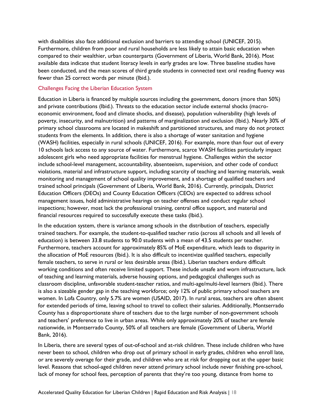with disabilities also face additional exclusion and barriers to attending school (UNICEF, 2015). Furthermore, children from poor and rural households are less likely to attain basic education when compared to their wealthier, urban counterparts (Government of Liberia, World Bank, 2016). Most available data indicate that student literacy levels in early grades are low. Three baseline studies have been conducted, and the mean scores of third grade students in connected text oral reading fluency was fewer than 25 correct words per minute (Ibid.).

#### Challenges Facing the Liberian Education System

Education in Liberia is financed by multiple sources including the government, donors (more than 50%) and private contributions (Ibid.). Threats to the education sector include external shocks (macroeconomic environment, food and climate shocks, and disease), population vulnerability (high levels of poverty, insecurity, and malnutrition) and patterns of marginalization and exclusion (Ibid.). Nearly 30% of primary school classrooms are located in makeshift and partitioned structures, and many do not protect students from the elements. In addition, there is also a shortage of water sanitation and hygiene (WASH) facilities, especially in rural schools (UNICEF, 2016). For example, more than four out of every 10 schools lack access to any source of water. Furthermore, scarce WASH facilities particularly impact adolescent girls who need appropriate facilities for menstrual hygiene. Challenges within the sector include school-level management, accountability, absenteeism, supervision, and other code of conduct violations, material and infrastructure support, including scarcity of teaching and learning materials, weak monitoring and management of school quality improvement, and a shortage of qualified teachers and trained school principals (Government of Liberia, World Bank, 2016). Currently, principals, District Education Officers (DEOs) and County Education Officers (CEOs) are expected to address school management issues, hold administrative hearings on teacher offenses and conduct regular school inspections; however, most lack the professional training, central office support, and material and financial resources required to successfully execute these tasks (Ibid.).

In the education system, there is variance among schools in the distribution of teachers, especially trained teachers. For example, the student-to-qualified teacher ratio (across all schools and all levels of education) is between 33.8 students to 90.0 students with a mean of 43.5 students per teacher. Furthermore, teachers account for approximately 85% of MoE expenditure, which leads to disparity in the allocation of MoE resources (Ibid.). It is also difficult to incentivize qualified teachers, especially female teachers, to serve in rural or less desirable areas (Ibid.). Liberian teachers endure difficult working conditions and often receive limited support. These include unsafe and worn infrastructure, lack of teaching and learning materials, adverse housing options, and pedagogical challenges such as classroom discipline, unfavorable student-teacher ratios, and multi-age/multi-level learners (Ibid.). There is also a sizeable gender gap in the teaching workforce; only 12% of public primary school teachers are women. In Lofa Country, only 5.7% are women (USAID, 2017). In rural areas, teachers are often absent for extended periods of time, leaving school to travel to collect their salaries. Additionally, Montserrado County has a disproportionate share of teachers due to the large number of non-government schools and teachers' preference to live in urban areas. While only approximately 20% of teacher are female nationwide, in Montserrado County, 50% of all teachers are female (Government of Liberia, World Bank, 2016).

In Liberia, there are several types of out-of-school and at-risk children. These include children who have never been to school, children who drop out of primary school in early grades, children who enroll late, or are severely overage for their grade, and children who are at risk for dropping out at the upper basic level. Reasons that school-aged children never attend primary school include never finishing pre-school, lack of money for school fees, perception of parents that they're too young, distance from home to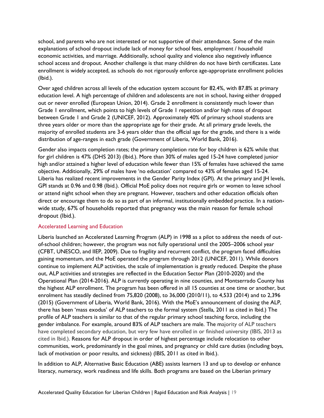school, and parents who are not interested or not supportive of their attendance. Some of the main explanations of school dropout include lack of money for school fees, employment / household economic activities, and marriage. Additionally, school quality and violence also negatively influence school access and dropout. Another challenge is that many children do not have birth certificates. Late enrollment is widely accepted, as schools do not rigorously enforce age-appropriate enrollment policies (Ibid.).

Over aged children across all levels of the education system account for 82.4%, with 87.8% at primary education level. A high percentage of children and adolescents are not in school, having either dropped out or never enrolled (European Union, 2014). Grade 2 enrollment is consistently much lower than Grade 1 enrollment, which points to high levels of Grade 1 repetition and/or high rates of dropout between Grade 1 and Grade 2 (UNICEF, 2012). Approximately 40% of primary school students are three years older or more than the appropriate age for their grade. At all primary grade levels, the majority of enrolled students are 3-6 years older than the official age for the grade, and there is a wide distribution of age-ranges in each grade (Government of Liberia, World Bank, 2016).

Gender also impacts completion rates; the primary completion rate for boy children is 62% while that for girl children is 47% (DHS 2013) (Ibid.). More than 30% of males aged 15-24 have completed junior high and/or attained a higher level of education while fewer than 15% of females have achieved the same objective. Additionally, 29% of males have 'no education' compared to 43% of females aged 15-24. Liberia has realized recent improvements in the Gender Parity Index (GPI). At the primary and JH levels, GPI stands at 0.96 and 0.98 (Ibid.). Official MoE policy does not require girls or women to leave school or attend night school when they are pregnant. However, teachers and other education officials often direct or encourage them to do so as part of an informal, institutionally embedded practice. In a nationwide study, 67% of households reported that pregnancy was the main reason for female school dropout (Ibid.).

#### Accelerated Learning and Education

Liberia launched an Accelerated Learning Program (ALP) in 1998 as a pilot to address the needs of outof-school children; however, the program was not fully operational until the 2005–2006 school year (CFBT, UNESCO, and IIEP, 2009). Due to fragility and recurrent conflict, the program faced difficulties gaining momentum, and the MoE operated the program through 2012 (UNICEF, 2011). While donors continue to implement ALP activities, the scale of implementation is greatly reduced. Despite the phase out, ALP activities and strategies are reflected in the Education Sector Plan (2010-2020) and the Operational Plan (2014-2016). ALP is currently operating in nine counties, and Montserrado County has the highest ALP enrollment. The program has been offered in all 15 counties at one time or another, but enrolment has steadily declined from 75,820 (2008), to 36,000 (2010/11), to 4,533 (2014) and to 2,396 (2015) (Government of Liberia, World Bank, 2016). With the MoE's announcement of closing the ALP, there has been 'mass exodus' of ALP teachers to the formal system (Stella, 2011 as cited in Ibid.) The profile of ALP teachers is similar to that of the regular primary school teaching force, including the gender imbalance. For example, around 83% of ALP teachers are male. The majority of ALP teachers have completed secondary education, but very few have enrolled in or finished university (IBIS, 2013 as cited in Ibid.). Reasons for ALP dropout in order of highest percentage include relocation to other communities, work, predominantly in the goal mines, and pregnancy or child care duties (including boys, lack of motivation or poor results, and sickness) (IBIS, 2011 as cited in Ibid.).

In addition to ALP, Alternative Basic Education (ABE) assists learners 13 and up to develop or enhance literacy, numeracy, work readiness and life skills. Both programs are based on the Liberian primary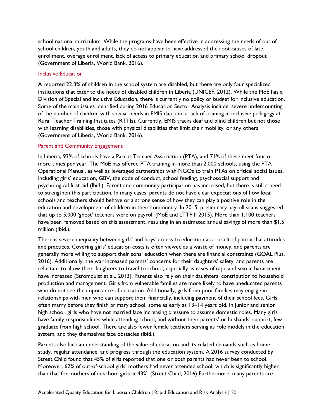school national curriculum. While the programs have been effective in addressing the needs of out of school children, youth and adults, they do not appear to have addressed the root causes of late enrollment, overage enrollment, lack of access to primary education and primary school dropout (Government of Liberia, World Bank, 2016).

#### Inclusive Education

A reported 22.3% of children in the school system are disabled, but there are only four specialized institutions that cater to the needs of disabled children in Liberia (UNICEF, 2012). While the MoE has a Division of Special and Inclusive Education, there is currently no policy or budget for inclusive education. Some of the main issues identified during 2016 Education Sector Analysis include: severe undercounting of the number of children with special needs in EMIS data and a lack of training in inclusive pedagogy at Rural Teacher Training Institutes (RTTIs). Currently, EMIS tracks deaf and blind children but not those with learning disabilities, those with physical disabilities that limit their mobility, or any others (Government of Liberia, World Bank, 2016).

#### Parent and Community Engagement

In Liberia, 93% of schools have a Parent Teacher Association (PTA), and 71% of these meet four or more times per year. The MoE has offered PTA training in more than 2,000 schools, using the PTA Operational Manual, as well as leveraged partnerships with NGOs to train PTAs on critical social issues, including girls' education, GBV, the code of conduct, school feeding, psychosocial support and psychological first aid (Ibid.). Parent and community participation has increased, but there is still a need to strengthen this participation. In many cases, parents do not have clear expectations of how local schools and teachers should behave or a strong sense of how they can play a positive role in the education and development of children in their community. In 2015, preliminary payroll scans suggested that up to 5,000 'ghost' teachers were on payroll (MoE and LTTP II 2015). More than 1,100 teachers have been removed based on this assessment, resulting in an estimated annual savings of more than \$1.5 million (Ibid.).

There is severe inequality between girls' and boys' access to education as a result of patriarchal attitudes and practices. Covering girls' education costs is often viewed as a waste of money, and parents are generally more willing to support their sons' education when there are financial constraints (GOAL Plus, 2016). Additionally, the war increased parents' concerns for their daughters' safety, and parents are reluctant to allow their daughters to travel to school, especially as cases of rape and sexual harassment have increased (Stromquist et al., 2013). Parents also rely on their daughters' contribution to household production and management. Girls from vulnerable families are more likely to have uneducated parents who do not see the importance of education. Additionally, girls from poor families may engage in relationships with men who can support them financially, including payment of their school fees. Girls often marry before they finish primary school, some as early as 13–14 years old. In junior and senior high school, girls who have not married face increasing pressure to assume domestic roles. Many girls have family responsibilities while attending school, and without their parents' or husbands' support, few graduate from high school. There are also fewer female teachers serving as role models in the education system, and they themselves face obstacles (Ibid.).

Parents also lack an understanding of the value of education and its related demands such as home study, regular attendance, and progress through the education system. A 2016 survey conducted by Street Child found that 45% of girls reported that one or both parents had never been to school. Moreover, 62% of out-of-school girls' mothers had never attended school, which is significantly higher than that for mothers of in-school girls at 43%. (Street Child, 2016) Furthermore, many parents are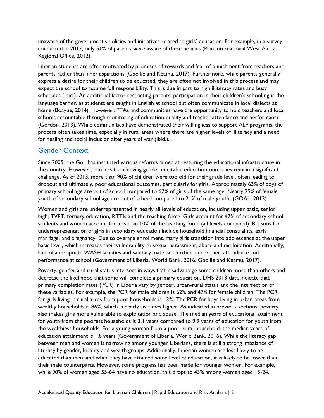unaware of the government's policies and initiatives related to girls' education. For example, in a survey conducted in 2012, only 51% of parents were aware of these policies (Plan International West Africa Regional Office, 2012).

Liberian students are often motivated by promises of rewards and fear of punishment from teachers and parents rather than inner aspirations (Gbollie and Keamu, 2017). Furthermore, while parents generally express a desire for their children to be educated, they are often not involved in this process and may expect the school to assume full responsibility. This is due in part to high illiteracy rates and busy schedules (Ibid.). An additional factor restricting parents' participation in their children's schooling is the language barrier, as students are taught in English at school but often communicate in local dialects at home (Boayue, 2014). However, PTAs and communities have the opportunity to hold teachers and local schools accountable through monitoring of education quality and teacher attendance and performance (Gordon, 2013). While communities have demonstrated their willingness to support ALP programs, the process often takes time, especially in rural areas where there are higher levels of illiteracy and a need for healing and social inclusion after years of war (Ibid.).

#### <span id="page-20-0"></span>Gender Context

Since 2005, the GoL has instituted various reforms aimed at restoring the educational infrastructure in the country. However, barriers to achieving gender equitable education outcomes remain a significant challenge. As of 2013, more than 90% of children were too old for their grade level, often leading to dropout and ultimately, poor educational outcomes, particularly for girls. Approximately 63% of boys of primary school age are out of school compared to 67% of girls of the same age. Nearly 29% of female youth of secondary school age are out of school compared to 21% of male youth. (GOAL, 2013)

Women and girls are underrepresented in nearly all levels of education, including upper basic, senior high, TVET, tertiary education, RTTIs and the teaching force. Girls account for 47% of secondary school students and women account for less than 10% of the teaching force (all levels combined). Reasons for underrepresentation of girls in secondary education include household financial constraints, early marriage, and pregnancy. Due to overage enrollment, many girls transition into adolescence at the upper basic level, which increases their vulnerability to sexual harassment, abuse and exploitation. Additionally, lack of appropriate WASH facilities and sanitary materials further hinder their attendance and performance at school (Government of Liberia, World Bank, 2016; Gbollie and Keamu, 2017).

Poverty, gender and rural status intersect in ways that disadvantage some children more than others and decrease the likelihood that some will complete a primary education. DHS 2013 data indicate that primary completion rates (PCR) in Liberia vary by gender, urban-rural status and the intersection of these variables. For example, the PCR for male children is 62% and 47% for female children. The PCR for girls living in rural areas from poor households is 13%. The PCR for boys living in urban areas from wealthy households is 86%, which is nearly six times higher. As indicated in previous sections, poverty also makes girls more vulnerable to exploitation and abuse. The median years of educational attainment for youth from the poorest households is 3.1 years compared to 9.9 years of education for youth from the wealthiest households. For a young woman from a poor, rural household, the median years of education attainment is 1.8 years (Government of Liberia, World Bank, 2016). While the literacy gap between men and women is narrowing among younger Liberians, there is still a strong imbalance of literacy by gender, locality and wealth groups. Additionally, Liberian women are less likely to be educated than men, and when they have attained some level of education, it is likely to be lower than their male counterparts. However, some progress has been made for younger women. For example, while 90% of women aged 55-64 have no education, this drops to 43% among women aged 15-24.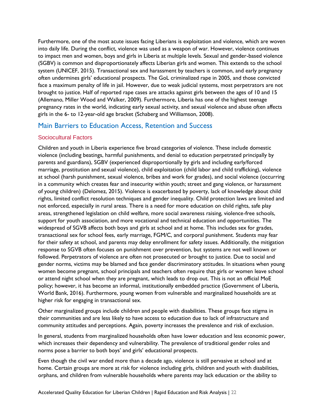Furthermore, one of the most acute issues facing Liberians is exploitation and violence, which are woven into daily life. During the conflict, violence was used as a weapon of war. However, violence continues to impact men and women, boys and girls in Liberia at multiple levels. Sexual and gender-based violence (SGBV) is common and disproportionately affects Liberian girls and women. This extends to the school system (UNICEF, 2015). Transactional sex and harassment by teachers is common, and early pregnancy often undermines girls' educational prospects. The GoL criminalized rape in 2005, and those convicted face a maximum penalty of life in jail. However, due to weak judicial systems, most perpetrators are not brought to justice. Half of reported rape cases are attacks against girls between the ages of 10 and 15 (Allemano, Miller Wood and Walker, 2009). Furthermore, Liberia has one of the highest teenage pregnancy rates in the world, indicating early sexual activity, and sexual violence and abuse often affects girls in the 6- to 12-year-old age bracket (Schaberg and Williamson, 2008).

#### <span id="page-21-0"></span>Main Barriers to Education Access, Retention and Success

#### <span id="page-21-1"></span>Sociocultural Factors

Children and youth in Liberia experience five broad categories of violence. These include domestic violence (including beatings, harmful punishments, and denial to education perpetrated principally by parents and guardians), SGBV (experienced disproportionally by girls and including early/forced marriage, prostitution and sexual violence), child exploitation (child labor and child trafficking), violence at school (harsh punishment, sexual violence, bribes and work for grades), and social violence (occurring in a community which creates fear and insecurity within youth; street and gang violence, or harassment of young children) (Delomez, 2015). Violence is exacerbated by poverty, lack of knowledge about child rights, limited conflict resolution techniques and gender inequality. Child protection laws are limited and not enforced, especially in rural areas. There is a need for more education on child rights, safe play areas, strengthened legislation on child welfare, more social awareness raising, violence-free schools, support for youth association, and more vocational and technical education and opportunities. The widespread of SGVB affects both boys and girls at school and at home. This includes sex for grades, transactional sex for school fees, early marriage, FGM/C, and corporal punishment. Students may fear for their safety at school, and parents may delay enrollment for safety issues. Additionally, the mitigation response to SGVB often focuses on punishment over prevention, but systems are not well known or followed. Perpetrators of violence are often not prosecuted or brought to justice. Due to social and gender norms, victims may be blamed and face gender discriminatory attitudes. In situations when young women become pregnant, school principals and teachers often require that girls or women leave school or attend night school when they are pregnant, which leads to drop out. This is not an official MoE policy; however, it has become an informal, institutionally embedded practice (Government of Liberia, World Bank, 2016). Furthermore, young women from vulnerable and marginalized households are at higher risk for engaging in transactional sex.

Other marginalized groups include children and people with disabilities. These groups face stigma in their communities and are less likely to have access to education due to lack of infrastructure and community attitudes and perceptions. Again, poverty increases the prevalence and risk of exclusion.

In general, students from marginalized households often have lower education and less economic power, which increases their dependency and vulnerability. The prevalence of traditional gender roles and norms pose a barrier to both boys' and girls' educational prospects.

Even though the civil war ended more than a decade ago, violence is still pervasive at school and at home. Certain groups are more at risk for violence including girls, children and youth with disabilities, orphans, and children from vulnerable households where parents may lack education or the ability to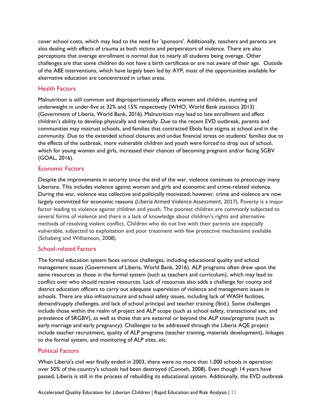cover school costs, which may lead to the need for 'sponsors'. Additionally, teachers and parents are also dealing with effects of trauma as both victims and perpetrators of violence. There are also perceptions that overage enrollment is normal due to nearly all students being overage. Other challenges are that some children do not have a birth certificate or are not aware of their age. Outside of the ABE interventions, which have largely been led by AYP, most of the opportunities available for alternative education are concentrated in urban areas.

#### <span id="page-22-0"></span>Health Factors

Malnutrition is still common and disproportionately affects women and children, stunting and underweight in under-five at 32% and 15% respectively (WHO, World Bank statistics 2013) (Government of Liberia, World Bank, 2016). Malnutrition may lead to late enrollment and affect children's ability to develop physically and mentally. Due to the recent EVD outbreak, parents and communities may mistrust schools, and families that contracted Ebola face stigma at school and in the community. Due to the extended school closures and undue financial stress on students' families due to the effects of the outbreak, more vulnerable children and youth were forced to drop out of school, which for young women and girls, increased their chances of becoming pregnant and/or facing SGBV (GOAL, 2016).

#### <span id="page-22-1"></span>Economic Factors

Despite the improvements in security since the end of the war, violence continues to preoccupy many Liberians. This includes violence against women and girls and economic and crime-related violence. During the war, violence was collective and politically motivated; however, crime and violence are now largely committed for economic reasons (Liberia Armed Violence Assessment, 2017). Poverty is a major factor leading to violence against children and youth. The poorest children are commonly subjected to several forms of violence and there is a lack of knowledge about children's rights and alternative methods of resolving violent conflict. Children who do not live with their parents are especially vulnerable, subjected to exploitation and poor treatment with few protective mechanisms available (Schaberg and Williamson, 2008).

#### <span id="page-22-2"></span>School-related Factors

The formal education system faces various challenges, including educational quality and school management issues (Government of Liberia, World Bank, 2016). ALP programs often draw upon the same resources as those in the formal system (such as teachers and curriculum), which may lead to conflict over who should receive resources. Lack of resources also adds a challenge for county and district education officers to carry out adequate supervision of violence and management issues in schools. There are also infrastructure and school safety issues, including lack of WASH facilities, demand/supply challenges, and lack of school principal and teacher training (Ibid.). Some challenges include those within the realm of project and ALP scope (such as school safety, transactional sex, and prevalence of SRGBV), as well as those that are external or beyond the ALP sites/programs (such as early marriage and early pregnancy). Challenges to be addressed through the Liberia AQE project include teacher recruitment, quality of ALP programs (teacher training, materials development), linkages to the formal system, and monitoring of ALP sites, etc.

#### <span id="page-22-3"></span>Political Factors

When Liberia's civil war finally ended in 2003, there were no more than 1,000 schools in operation: over 50% of the country's schools had been destroyed (Conneh, 2008). Even though 14 years have passed, Liberia is still in the process of rebuilding its educational system. Additionally, the EVD outbreak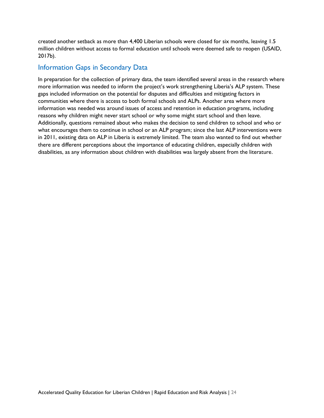created another setback as more than 4,400 Liberian schools were closed for six months, leaving 1.5 million children without access to formal education until schools were deemed safe to reopen (USAID, 2017b).

#### <span id="page-23-0"></span>Information Gaps in Secondary Data

In preparation for the collection of primary data, the team identified several areas in the research where more information was needed to inform the project's work strengthening Liberia's ALP system. These gaps included information on the potential for disputes and difficulties and mitigating factors in communities where there is access to both formal schools and ALPs. Another area where more information was needed was around issues of access and retention in education programs, including reasons why children might never start school or why some might start school and then leave. Additionally, questions remained about who makes the decision to send children to school and who or what encourages them to continue in school or an ALP program; since the last ALP interventions were in 2011, existing data on ALP in Liberia is extremely limited. The team also wanted to find out whether there are different perceptions about the importance of educating children, especially children with disabilities, as any information about children with disabilities was largely absent from the literature.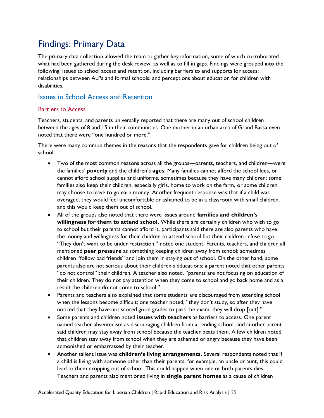# <span id="page-24-0"></span>Findings: Primary Data

The primary data collection allowed the team to gather key information, some of which corroborated what had been gathered during the desk review, as well as to fill in gaps. Findings were grouped into the following: issues to school access and retention, including barriers to and supports for access; relationships between ALPs and formal schools; and perceptions about education for children with disabilities.

#### <span id="page-24-1"></span>Issues in School Access and Retention

#### <span id="page-24-2"></span>Barriers to Access

Teachers, students, and parents universally reported that there are many out of school children between the ages of 8 and 15 in their communities. One mother in an urban area of Grand Bassa even noted that there were "one hundred or more."

There were many common themes in the reasons that the respondents gave for children being out of school.

- Two of the most common reasons across all the groups—parents, teachers, and children—were the families' **poverty** and the children's **ages**. Many families cannot afford the school fees, or cannot afford school supplies and uniforms, sometimes because they have many children; some families also keep their children, especially girls, home to work on the farm, or some children may choose to leave to go earn money. Another frequent response was that if a child was overaged, they would feel uncomfortable or ashamed to be in a classroom with small children, and this would keep them out of school.
- All of the groups also noted that there were issues around **families and children's willingness for them to attend school.** While there are certainly children who wish to go to school but their parents cannot afford it, participants said there are also parents who have the money and willingness for their children to attend school but their children refuse to go. "They don't want to be under restriction," noted one student. Parents, teachers, and children all mentioned **peer pressure** as something keeping children away from school; sometimes children "follow bad friends" and join them in staying out of school. On the other hand, some parents also are not serious about their children's educations; a parent noted that other parents "do not control" their children. A teacher also noted, "parents are not focusing on education of their children. They do not pay attention when they come to school and go back home and as a result the children do not come to school."
- Parents and teachers also explained that some students are discouraged from attending school when the lessons become difficult; one teacher noted, "they don't study, so after they have noticed that they have not scored good grades to pass the exam, they will drop [out]."
- Some parents and children noted **issues with teachers** as barriers to access. One parent named teacher absenteeism as discouraging children from attending school, and another parent said children may stay away from school because the teacher beats them. A few children noted that children stay away from school when they are ashamed or angry because they have been admonished or embarrassed by their teacher.
- Another salient issue was **children's living arrangements.** Several respondents noted that if a child is living with someone other than their parents, for example, an uncle or aunt, this could lead to them dropping out of school. This could happen when one or both parents dies. Teachers and parents also mentioned living in **single parent homes** as a cause of children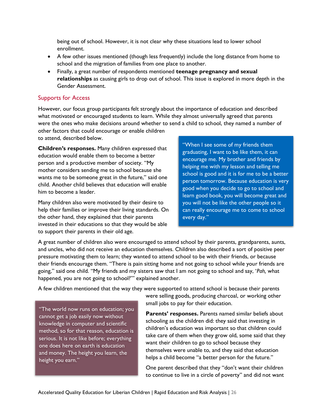being out of school. However, it is not clear why these situations lead to lower school enrollment.

- A few other issues mentioned (though less frequently) include the long distance from home to school and the migration of families from one place to another.
- Finally, a great number of respondents mentioned **teenage pregnancy and sexual relationships** as causing girls to drop out of school. This issue is explored in more depth in the Gender Assessment.

#### <span id="page-25-0"></span>Supports for Access

However, our focus group participants felt strongly about the importance of education and described what motivated or encouraged students to learn. While they almost universally agreed that parents were the ones who make decisions around whether to send a child to school, they named a number of

other factors that could encourage or enable children to attend, described below.

**Children's responses.** Many children expressed that education would enable them to become a better person and a productive member of society. "My mother considers sending me to school because she wants me to be someone great in the future," said one child. Another child believes that education will enable him to become a leader.

Many children also were motivated by their desire to help their families or improve their living standards. On the other hand, they explained that their parents invested in their educations so that they would be able to support their parents in their old age.

"When I see some of my friends them graduating, I want to be like them, it can encourage me. My brother and friends by helping me with my lesson and telling me school is good and it is for me to be a better person tomorrow. Because education is very good when you decide to go to school and learn good book, you will become great and you will not be like the other people so it can really encourage me to come to school every day."

A great number of children also were encouraged to attend school by their parents, grandparents, aunts, and uncles, who did not receive an education themselves. Children also described a sort of positive peer pressure motivating them to learn; they wanted to attend school to be with their friends, or because their friends encourage them. "There is pain sitting home and not going to school while your friends are going," said one child. "My friends and my sisters saw that I am not going to school and say, '*Pah,* what happened, you are not going to school?'" explained another.

A few children mentioned that the way they were supported to attend school is because their parents

"The world now runs on education; you cannot get a job easily now without knowledge in computer and scientific method, so for that reason, education is serious. It is not like before; everything one does here on earth is education and money. The height you learn, the height you earn."

were selling goods, producing charcoal, or working other small jobs to pay for their education.

**Parents' responses.** Parents named similar beliefs about schooling as the children did: they said that investing in children's education was important so that children could take care of them when they grow old, some said that they want their children to go to school because they themselves were unable to, and they said that education helps a child become "a better person for the future."

One parent described that they "don't want their children to continue to live in a circle of poverty" and did not want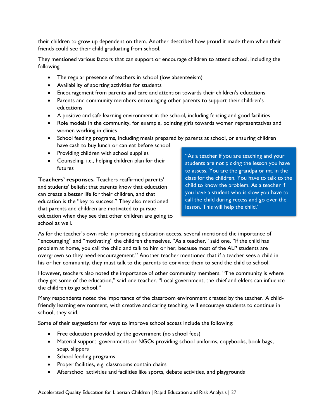their children to grow up dependent on them. Another described how proud it made them when their friends could see their child graduating from school.

They mentioned various factors that can support or encourage children to attend school, including the following:

- The regular presence of teachers in school (low absenteeism)
- Availability of sporting activities for students
- Encouragement from parents and care and attention towards their children's educations
- Parents and community members encouraging other parents to support their children's educations
- A positive and safe learning environment in the school, including fencing and good facilities
- Role models in the community, for example, pointing girls towards women representatives and women working in clinics
- School feeding programs, including meals prepared by parents at school, or ensuring children have cash to buy lunch or can eat before school
- Providing children with school supplies
- Counseling, i.e., helping children plan for their futures

**Teachers' responses.** Teachers reaffirmed parents' and students' beliefs: that parents know that education can create a better life for their children, and that education is the "key to success." They also mentioned that parents and children are motivated to pursue education when they see that other children are going to school as well.

"As a teacher if you are teaching and your students are not picking the lesson you have to assess. You are the grandpa or ma in the class for the children. You have to talk to the child to know the problem. As a teacher if you have a student who is slow you have to call the child during recess and go over the lesson. This will help the child."

As for the teacher's own role in promoting education access, several mentioned the importance of "encouraging" and "motivating" the children themselves. "As a teacher," said one, "if the child has problem at home, you call the child and talk to him or her, because most of the ALP students are overgrown so they need encouragement." Another teacher mentioned that if a teacher sees a child in his or her community, they must talk to the parents to convince them to send the child to school.

However, teachers also noted the importance of other community members. "The community is where they get some of the education," said one teacher. "Local government, the chief and elders can influence the children to go school."

Many respondents noted the importance of the classroom environment created by the teacher. A childfriendly learning environment, with creative and caring teaching, will encourage students to continue in school, they said.

Some of their suggestions for ways to improve school access include the following:

- Free education provided by the government (no school fees)
- Material support: governments or NGOs providing school uniforms, copybooks, book bags, soap, slippers
- School feeding programs
- Proper facilities, e.g. classrooms contain chairs
- Afterschool activities and facilities like sports, debate activities, and playgrounds

Accelerated Quality Education for Liberian Children | Rapid Education and Risk Analysis | 27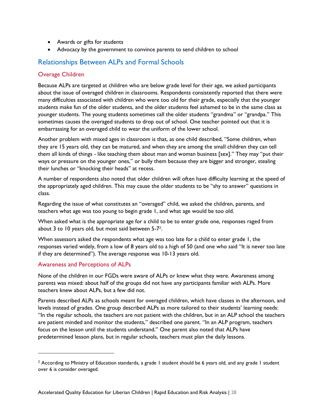- Awards or gifts for students
- Advocacy by the government to convince parents to send children to school

#### <span id="page-27-0"></span>Relationships Between ALPs and Formal Schools

#### <span id="page-27-1"></span>Overage Children

Because ALPs are targeted at children who are below grade level for their age, we asked participants about the issue of overaged children in classrooms. Respondents consistently reported that there were many difficulties associated with children who were too old for their grade, especially that the younger students make fun of the older students, and the older students feel ashamed to be in the same class as younger students. The young students sometimes call the older students "grandma" or "grandpa." This sometimes causes the overaged students to drop out of school. One teacher pointed out that it is embarrassing for an overaged child to wear the uniform of the lower school.

Another problem with mixed ages in classroom is that, as one child described, "Some children, when they are 15 years old, they can be matured, and when they are among the small children they can tell them all kinds of things - like teaching them about man and woman business [sex]." They may "put their ways or pressure on the younger ones," or bully them because they are bigger and stronger, stealing their lunches or "knocking their heads" at recess.

A number of respondents also noted that older children will often have difficulty learning at the speed of the appropriately aged children. This may cause the older students to be "shy to answer" questions in class.

Regarding the issue of what constitutes an "overaged" child, we asked the children, parents, and teachers what age was too young to begin grade 1, and what age would be too old.

When asked what is the appropriate age for a child to be to enter grade one, responses raged from about 3 to 10 years old, but most said between 5-7 2 .

When assessors asked the respondents what age was too late for a child to enter grade 1, the responses varied widely, from a low of 8 years old to a high of 50 (and one who said "It is never too late if they are determined"). The average response was 10-13 years old.

#### <span id="page-27-2"></span>Awareness and Perceptions of ALPs

 $\overline{a}$ 

None of the children in our FGDs were aware of ALPs or knew what they were. Awareness among parents was mixed: about half of the groups did not have any participants familiar with ALPs. More teachers knew about ALPs, but a few did not.

Parents described ALPs as schools meant for overaged children, which have classes in the afternoon, and levels instead of grades. One group described ALPs as more tailored to their students' learning needs: "In the regular schools, the teachers are not patient with the children, but in an ALP school the teachers are patient minded and monitor the students," described one parent. "In an ALP program, teachers focus on the lesson until the students understand." One parent also noted that ALPs have predetermined lesson plans, but in regular schools, teachers must plan the daily lessons.

<sup>&</sup>lt;sup>2</sup> According to Ministry of Education standards, a grade 1 student should be 6 years old, and any grade 1 student over 6 is consider overaged.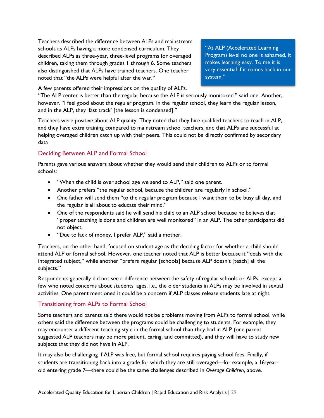Teachers described the difference between ALPs and mainstream schools as ALPs having a more condensed curriculum. They described ALPs as three-year, three-level programs for overaged children, taking them through grades 1 through 6. Some teachers also distinguished that ALPs have trained teachers. One teacher noted that "the ALPs were helpful after the war."

A few parents offered their impressions on the quality of ALPs.

"At ALP (Accelerated Learning Program) level no one is ashamed, it makes learning easy. To me it is very essential if it comes back in our system."

"The ALP center is better than the regular because the ALP is seriously monitored," said one. Another, however, "I feel good about the regular program. In the regular school, they learn the regular lesson, and in the ALP, they 'fast track' [the lesson is condensed]."

Teachers were positive about ALP quality. They noted that they hire qualified teachers to teach in ALP, and they have extra training compared to mainstream school teachers, and that ALPs are successful at helping overaged children catch up with their peers. This could not be directly confirmed by secondary data

#### <span id="page-28-0"></span>Deciding Between ALP and Formal School

Parents gave various answers about whether they would send their children to ALPs or to formal schools:

- "When the child is over school age we send to ALP," said one parent.
- Another prefers "the regular school, because the children are regularly in school."
- One father will send them "to the regular program because I want them to be busy all day, and the regular is all about to educate their mind."
- One of the respondents said he will send his child to an ALP school because he believes that "proper teaching is done and children are well monitored" in an ALP. The other participants did not object.
- "Due to lack of money, I prefer ALP," said a mother.

Teachers, on the other hand, focused on student age as the deciding factor for whether a child should attend ALP or formal school. However, one teacher noted that ALP is better because it "deals with the integrated subject," while another "prefers regular [schools] because ALP doesn't [teach] all the subjects."

Respondents generally did not see a difference between the safety of regular schools or ALPs, except a few who noted concerns about students' ages, i.e., the older students in ALPs may be involved in sexual activities. One parent mentioned it could be a concern if ALP classes release students late at night.

#### <span id="page-28-1"></span>Transitioning from ALPs to Formal School

Some teachers and parents said there would not be problems moving from ALPs to formal school, while others said the difference between the programs could be challenging to students. For example, they may encounter a different teaching style in the formal school than they had in ALP (one parent suggested ALP teachers may be more patient, caring, and committed), and they will have to study new subjects that they did not have in ALP.

It may also be challenging if ALP was free, but formal school requires paying school fees. Finally, if students are transitioning back into a grade for which they are still overaged—for example, a 16-yearold entering grade 7—there could be the same challenges described in *Overage Children*, above.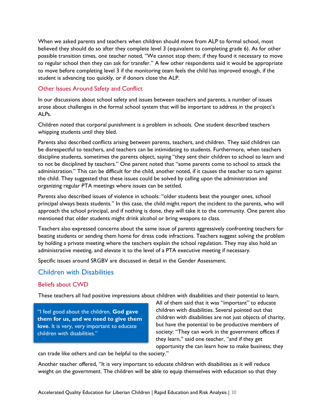When we asked parents and teachers when children should move from ALP to formal school, most believed they should do so after they complete level 3 (equivalent to completing grade 6). As for other possible transition times, one teacher noted, "We cannot stop them; if they found it necessary to move to regular school then they can ask for transfer." A few other respondents said it would be appropriate to move before completing level 3 if the monitoring team feels the child has improved enough, if the student is advancing too quickly, or if donors close the ALP.

#### <span id="page-29-0"></span>Other Issues Around Safety and Conflict

In our discussions about school safety and issues between teachers and parents, a number of issues arose about challenges in the formal school system that will be important to address in the project's ALPs.

Children noted that corporal punishment is a problem in schools. One student described teachers whipping students until they bled.

Parents also described conflicts arising between parents, teachers, and children. They said children can be disrespectful to teachers, and teachers can be intimidating to students. Furthermore, when teachers discipline students, sometimes the parents object, saying "they sent their children to school to learn and to not be disciplined by teachers." One parent noted that "some parents come to school to attack the administration." This can be difficult for the child, another noted, if it causes the teacher to turn against the child. They suggested that these issues could be solved by calling upon the administration and organizing regular PTA meetings where issues can be settled.

Parents also described issues of violence in schools: "older students beat the younger ones, school principal always beats students." In this case, the child might report the incident to the parents, who will approach the school principal, and if nothing is done, they will take it to the community. One parent also mentioned that older students might drink alcohol or bring weapons to class.

Teachers also expressed concerns about the same issue of parents aggressively confronting teachers for beating students or sending them home for dress code infractions. Teachers suggest solving the problem by holding a private meeting where the teachers explain the school regulation. They may also hold an administrative meeting, and elevate it to the level of a PTA executive meeting if necessary.

Specific issues around SRGBV are discussed in detail in the Gender Assessment.

#### <span id="page-29-1"></span>Children with Disabilities

#### <span id="page-29-2"></span>Beliefs about CWD

These teachers all had positive impressions about children with disabilities and their potential to learn.

"I feel good about the children, **God gave them for us, and we need to give them love**. It is very, very important to educate children with disabilities."

All of them said that it was "important" to educate children with disabilities. Several pointed out that children with disabilities are not just objects of charity, but have the potential to be productive members of society: "They can work in the government offices if they learn," said one teacher, "and if they get opportunity the can learn how to make business; they

can trade like others and can be helpful to the society."

Another teacher offered, "It is very important to educate children with disabilities as it will reduce weight on the government. The children will be able to equip themselves with education so that they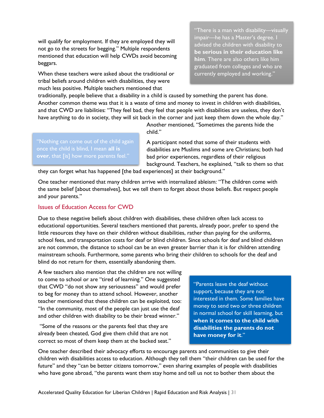will qualify for employment. If they are employed they will not go to the streets for begging." Multiple respondents mentioned that education will help CWDs avoid becoming beggars.

When these teachers were asked about the traditional or tribal beliefs around children with disabilities, they were much less positive. Multiple teachers mentioned that

"There is a man with disability—visually impair—he has a Master's degree. I advised the children with disability to **be serious in their education like him**. There are also others like him graduated from colleges and who are currently employed and working."

traditionally, people believe that a disability in a child is caused by something the parent has done. Another common theme was that it is a waste of time and money to invest in children with disabilities, and that CWD are liabilities: "They feel bad, they feel that people with disabilities are useless, they don't have anything to do in society, they will sit back in the corner and just keep them down the whole day."

> Another mentioned, "Sometimes the parents hide the child."

A participant noted that some of their students with disabilities are Muslims and some are Christians; both had bad prior experiences, regardless of their religious background. Teachers, he explained, "talk to them so that

they can forget what has happened [the bad experiences] at their background."

One teacher mentioned that many children arrive with internalized ableism: "The children come with the same belief [about themselves], but we tell them to forget about those beliefs. But respect people and your parents."

#### <span id="page-30-0"></span>Issues of Education Access for CWD

once the child is blind, I mean **all is** 

Due to these negative beliefs about children with disabilities, these children often lack access to educational opportunities. Several teachers mentioned that parents, already poor, prefer to spend the little resources they have on their children without disabilities, rather than paying for the uniforms, school fees, and transportation costs for deaf or blind children. Since schools for deaf and blind children are not common, the distance to school can be an even greater barrier than it is for children attending mainstream schools. Furthermore, some parents who bring their children to schools for the deaf and blind do not return for them, essentially abandoning them.

A few teachers also mention that the children are not willing to come to school or are "tired of learning." One suggested that CWD "do not show any seriousness" and would prefer to beg for money than to attend school. However, another teacher mentioned that these children can be exploited, too: "In the community, most of the people can just use the deaf and other children with disability to be their bread winner."

"Some of the reasons or the parents feel that they are already been cheated, God give them child that are not correct so most of them keep them at the backed seat."

"Parents leave the deaf without support, because they are not interested in them. Some families have money to send two or three children in normal school for skill learning, but **when it comes to the child with disabilities the parents do not have money for it**."

One teacher described their advocacy efforts to encourage parents and communities to give their children with disabilities access to education. Although they tell them "their children can be used for the future" and they "can be better citizens tomorrow," even sharing examples of people with disabilities who have gone abroad, "the parents want them stay home and tell us not to bother them about the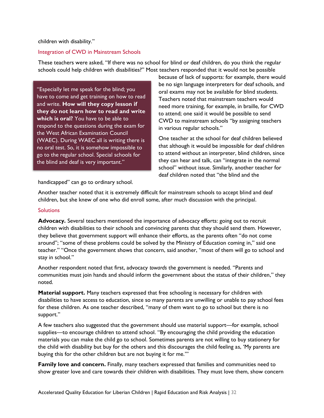children with disability."

#### Integration of CWD in Mainstream Schools

These teachers were asked, "If there was no school for blind or deaf children, do you think the regular schools could help children with disabilities?" Most teachers responded that it would not be possible

"Especially let me speak for the blind; you have to come and get training on how to read and write. **How will they copy lesson if they do not learn how to read and write which is oral?** You have to be able to respond to the questions during the exam for the West African Examination Council (WAEC). During WAEC all is writing there is no oral test. So, it is somehow impossible to go to the regular school. Special schools for the blind and deaf is very important."

because of lack of supports: for example, there would be no sign language interpreters for deaf schools, and oral exams may not be available for blind students. Teachers noted that mainstream teachers would need more training, for example, in braille, for CWD to attend; one said it would be possible to send CWD to mainstream schools "by assigning teachers in various regular schools."

One teacher at the school for deaf children believed that although it would be impossible for deaf children to attend without an interpreter, blind children, since they can hear and talk, can "integrate in the normal school" without issue. Similarly, another teacher for deaf children noted that "the blind and the

handicapped" can go to ordinary school.

Another teacher noted that it is extremely difficult for mainstream schools to accept blind and deaf children, but she knew of one who did enroll some, after much discussion with the principal.

#### **Solutions**

**Advocacy.** Several teachers mentioned the importance of advocacy efforts: going out to recruit children with disabilities to their schools and convincing parents that they should send them. However, they believe that government support will enhance their efforts, as the parents often "do not come around"; "some of these problems could be solved by the Ministry of Education coming in," said one teacher." "Once the government shows that concern, said another, "most of them will go to school and stay in school."

Another respondent noted that first, advocacy *towards* the government is needed. "Parents and communities must join hands and should inform the government about the status of their children," they noted.

**Material support.** Many teachers expressed that free schooling is necessary for children with disabilities to have access to education, since so many parents are unwilling or unable to pay school fees for these children. As one teacher described, "many of them want to go to school but there is no support."

A few teachers also suggested that the government should use material support—for example, school supplies—to encourage children to attend school. "By encouraging the child providing the education materials you can make the child go to school. Sometimes parents are not willing to buy stationery for the child with disability but buy for the others and this discourages the child feeling as, 'My parents are buying this for the other children but are not buying it for me.'"

**Family love and concern.** Finally, many teachers expressed that families and communities need to show greater love and care towards their children with disabilities. They must love them, show concern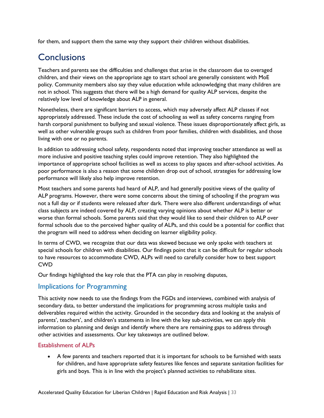for them, and support them the same way they support their children without disabilities.

### <span id="page-32-0"></span>**Conclusions**

Teachers and parents see the difficulties and challenges that arise in the classroom due to overaged children, and their views on the appropriate age to start school are generally consistent with MoE policy. Community members also say they value education while acknowledging that many children are not in school. This suggests that there will be a high demand for quality ALP services, despite the relatively low level of knowledge about ALP in general.

Nonetheless, there are significant barriers to access, which may adversely affect ALP classes if not appropriately addressed. These include the cost of schooling as well as safety concerns ranging from harsh corporal punishment to bullying and sexual violence. These issues disproportionately affect girls, as well as other vulnerable groups such as children from poor families, children with disabilities, and those living with one or no parents.

In addition to addressing school safety, respondents noted that improving teacher attendance as well as more inclusive and positive teaching styles could improve retention. They also highlighted the importance of appropriate school facilities as well as access to play spaces and after-school activities. As poor performance is also a reason that some children drop out of school, strategies for addressing low performance will likely also help improve retention.

Most teachers and some parents had heard of ALP, and had generally positive views of the quality of ALP programs. However, there were some concerns about the timing of schooling if the program was not a full day or if students were released after dark. There were also different understandings of what class subjects are indeed covered by ALP, creating varying opinions about whether ALP is better or worse than formal schools. Some parents said that they would like to send their children to ALP over formal schools due to the perceived higher quality of ALPs, and this could be a potential for conflict that the program will need to address when deciding on learner eligibility policy.

In terms of CWD, we recognize that our data was skewed because we only spoke with teachers at special schools for children with disabilities. Our findings point that it can be difficult for regular schools to have resources to accommodate CWD, ALPs will need to carefully consider how to best support CWD

Our findings highlighted the key role that the PTA can play in resolving disputes,

#### <span id="page-32-1"></span>Implications for Programming

This activity now needs to use the findings from the FGDs and interviews, combined with analysis of secondary data, to better understand the implications for programming across multiple tasks and deliverables required within the activity. Grounded in the secondary data and looking at the analysis of parents', teachers', and children's statements in line with the key sub-activities, we can apply this information to planning and design and identify where there are remaining gaps to address through other activities and assessments. Our key takeaways are outlined below.

#### <span id="page-32-2"></span>Establishment of ALPs

• A few parents and teachers reported that it is important for schools to be furnished with seats for children, and have appropriate safety features like fences and separate sanitation facilities for girls and boys. This is in line with the project's planned activities to rehabilitate sites.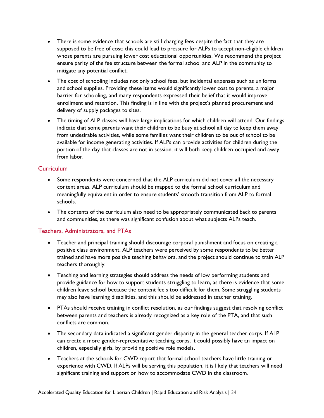- There is some evidence that schools are still charging fees despite the fact that they are supposed to be free of cost; this could lead to pressure for ALPs to accept non-eligible children whose parents are pursuing lower cost educational opportunities. We recommend the project ensure parity of the fee structure between the formal school and ALP in the community to mitigate any potential conflict.
- The cost of schooling includes not only school fees, but incidental expenses such as uniforms and school supplies. Providing these items would significantly lower cost to parents, a major barrier for schooling, and many respondents expressed their belief that it would improve enrollment and retention. This finding is in line with the project's planned procurement and delivery of supply packages to sites.
- The timing of ALP classes will have large implications for which children will attend. Our findings indicate that some parents want their children to be busy at school all day to keep them away from undesirable activities, while some families want their children to be out of school to be available for income generating activities. If ALPs can provide activities for children during the portion of the day that classes are not in session, it will both keep children occupied and away from labor.

#### <span id="page-33-0"></span>Curriculum

- Some respondents were concerned that the ALP curriculum did not cover all the necessary content areas. ALP curriculum should be mapped to the formal school curriculum and meaningfully equivalent in order to ensure students' smooth transition from ALP to formal schools.
- The contents of the curriculum also need to be appropriately communicated back to parents and communities, as there was significant confusion about what subjects ALPs teach.

#### <span id="page-33-1"></span>Teachers, Administrators, and PTAs

- Teacher and principal training should discourage corporal punishment and focus on creating a positive class environment. ALP teachers were perceived by some respondents to be better trained and have more positive teaching behaviors, and the project should continue to train ALP teachers thoroughly.
- Teaching and learning strategies should address the needs of low performing students and provide guidance for how to support students struggling to learn, as there is evidence that some children leave school because the content feels too difficult for them. Some struggling students may also have learning disabilities, and this should be addressed in teacher training.
- PTAs should receive training in conflict resolution, as our findings suggest that resolving conflict between parents and teachers is already recognized as a key role of the PTA, and that such conflicts are common.
- The secondary data indicated a significant gender disparity in the general teacher corps. If ALP can create a more gender-representative teaching corps, it could possibly have an impact on children, especially girls, by providing positive role models.
- Teachers at the schools for CWD report that formal school teachers have little training or experience with CWD. If ALPs will be serving this population, it is likely that teachers will need significant training and support on how to accommodate CWD in the classroom.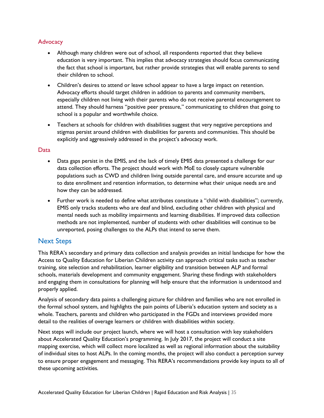#### <span id="page-34-0"></span>**Advocacy**

- Although many children were out of school, all respondents reported that they believe education is very important. This implies that advocacy strategies should focus communicating the fact that school is important, but rather provide strategies that will enable parents to send their children to school.
- Children's desires to attend or leave school appear to have a large impact on retention. Advocacy efforts should target children in addition to parents and community members, especially children not living with their parents who do not receive parental encouragement to attend. They should harness "positive peer pressure," communicating to children that going to school is a popular and worthwhile choice.
- Teachers at schools for children with disabilities suggest that very negative perceptions and stigmas persist around children with disabilities for parents and communities. This should be explicitly and aggressively addressed in the project's advocacy work.

#### <span id="page-34-1"></span>Data

- Data gaps persist in the EMIS, and the lack of timely EMIS data presented a challenge for our data collection efforts. The project should work with MoE to closely capture vulnerable populations such as CWD and children living outside parental care, and ensure accurate and up to date enrollment and retention information, to determine what their unique needs are and how they can be addressed.
- Further work is needed to define what attributes constitute a "child with disabilities"; currently, EMIS only tracks students who are deaf and blind, excluding other children with physical and mental needs such as mobility impairments and learning disabilities. If improved data collection methods are not implemented, number of students with other disabilities will continue to be unreported, posing challenges to the ALPs that intend to serve them.

#### <span id="page-34-2"></span>Next Steps

This RERA's secondary and primary data collection and analysis provides an initial landscape for how the Access to Quality Education for Liberian Children activity can approach critical tasks such as teacher training, site selection and rehabilitation, learner eligibility and transition between ALP and formal schools, materials development and community engagement. Sharing these findings with stakeholders and engaging them in consultations for planning will help ensure that the information is understood and properly applied.

Analysis of secondary data paints a challenging picture for children and families who are not enrolled in the formal school system, and highlights the pain points of Liberia's education system and society as a whole. Teachers, parents and children who participated in the FGDs and interviews provided more detail to the realities of overage learners or children with disabilities within society.

Next steps will include our project launch, where we will host a consultation with key stakeholders about Accelerated Quality Education's programming. In July 2017, the project will conduct a site mapping exercise, which will collect more localized as well as regional information about the suitability of individual sites to host ALPs. In the coming months, the project will also conduct a perception survey to ensure proper engagement and messaging. This RERA's recommendations provide key inputs to all of these upcoming activities.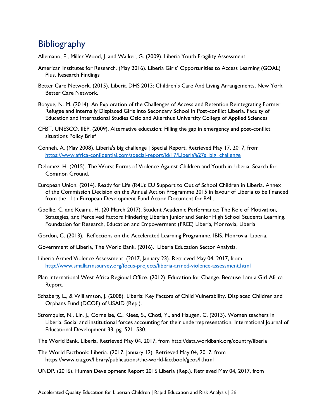### <span id="page-35-0"></span>**Bibliography**

Allemano, E., Miller Wood, J. and Walker, G. (2009). Liberia Youth Fragility Assessment.

- American Institutes for Research. (May 2016). Liberia Girls' Opportunities to Access Learning (GOAL) Plus. Research Findings
- Better Care Network. (2015). Liberia DHS 2013: Children's Care And Living Arrangements, New York: Better Care Network.
- Boayue, N. M. (2014). An Exploration of the Challenges of Access and Retention Reintegrating Former Refugee and Internally Displaced Girls into Secondary School in Post-conflict Liberia. Faculty of Education and International Studies Oslo and Akershus University College of Applied Sciences
- CFBT, UNESCO, IIEP. (2009). Alternative education: Filling the gap in emergency and post-conflict situations Policy Brief
- Conneh, A. (May 2008). Liberia's big challenge | Special Report. Retrieved May 17, 2017, from [https://www.africa-confidential.com/special-report/id/17/Liberia%27s\\_big\\_challenge](https://www.africa-confidential.com/special-report/id/17/Liberia%27s_big_challenge)
- Delomez, H. (2015). The Worst Forms of Violence Against Children and Youth in Liberia. Search for Common Ground.
- European Union. (2014). Ready for Life (R4L): EU Support to Out of School Children in Liberia. Annex 1 of the Commission Decision on the Annual Action Programme 2015 in favour of Liberia to be financed from the 11th European Development Fund Action Document for R4L.
- Gbollie, C. and Keamu, H. (20 March 2017). Student Academic Performance: The Role of Motivation, Strategies, and Perceived Factors Hindering Liberian Junior and Senior High School Students Learning. Foundation for Research, Education and Empowerment (FREE) Liberia, Monrovia, Liberia
- Gordon, C. (2013). Reflections on the Accelerated Learning Programme. IBIS. Monrovia, Liberia.
- Government of Liberia, The World Bank. (2016). Liberia Education Sector Analysis.
- Liberia Armed Violence Assessment. (2017, January 23). Retrieved May 04, 2017, from <http://www.smallarmssurvey.org/focus-projects/liberia-armed-violence-assessment.html>
- Plan International West Africa Regional Office. (2012). Education for Change. Because I am a Girl Africa Report.
- Schaberg, L., & Williamson, J. (2008). Liberia: Key Factors of Child Vulnerability. Displaced Children and Orphans Fund (DCOF) of USAID (Rep.).
- Stromquist, N., Lin, J., Corneilse, C., Klees, S., Choti, Y., and Haugen, C. (2013). Women teachers in Liberia: Social and institutional forces accounting for their underrepresentation. International Journal of Educational Development 33, pg. 521–530.
- The World Bank. Liberia. Retrieved May 04, 2017, from<http://data.worldbank.org/country/liberia>
- The World Factbook: Liberia. (2017, January 12). Retrieved May 04, 2017, from <https://www.cia.gov/library/publications/the-world-factbook/geos/li.html>
- UNDP. (2016). Human Development Report 2016 Liberia (Rep.). Retrieved May 04, 2017, from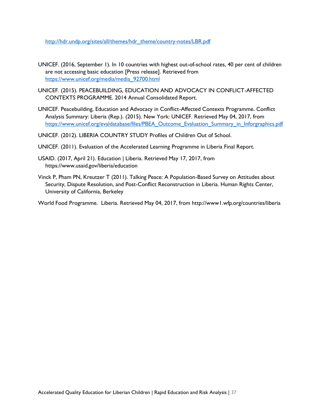[http://hdr.undp.org/sites/all/themes/hdr\\_theme/country-notes/LBR.pdf](http://hdr.undp.org/sites/all/themes/hdr_theme/country-notes/LBR.pdf)

- UNICEF. (2016, September 1). In 10 countries with highest out-of-school rates, 40 per cent of children are not accessing basic education [Press release]. Retrieved from [https://www.unicef.org/media/media\\_92700.html](https://www.unicef.org/media/media_92700.html)
- UNICEF. (2015). PEACEBUILDING, EDUCATION AND ADVOCACY IN CONFLICT-AFFECTED CONTEXTS PROGRAMME. 2014 Annual Consolidated Report.
- UNICEF. Peacebuilding, Education and Advocacy in Conflict-Affected Contexts Programme. Conflict Analysis Summary: Liberia (Rep.). (2015). New York: UNICEF. Retrieved May 04, 2017, from [https://www.unicef.org/evaldatabase/files/PBEA\\_Outcome\\_Evaluation\\_Summary\\_in\\_Inforgraphics.pdf](https://www.unicef.org/evaldatabase/files/PBEA_Outcome_Evaluation_Summary_in_Inforgraphics.pdf)
- UNICEF. (2012). LIBERIA COUNTRY STUDY Profiles of Children Out of School.
- UNICEF. (2011). Evaluation of the Accelerated Learning Programme in Liberia Final Report.
- USAID. (2017, April 21). Education | Liberia. Retrieved May 17, 2017, from <https://www.usaid.gov/liberia/education>
- Vinck P, Pham PN, Kreutzer T (2011). Talking Peace: A Population-Based Survey on Attitudes about Security, Dispute Resolution, and Post-Conflict Reconstruction in Liberia. Human Rights Center, University of California, Berkeley

World Food Programme. Liberia. Retrieved May 04, 2017, from http://www1.wfp.org/countries/liberia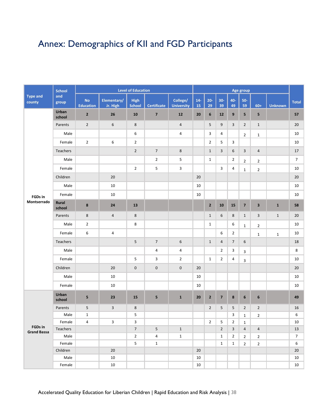# <span id="page-37-0"></span>Annex: Demographics of KII and FGD Participants

|                               | <b>School</b>   |                               | <b>Level of Education</b> |                              |                         |                               |             | Age group      |                         |                  |                         |                         |                |                |  |
|-------------------------------|-----------------|-------------------------------|---------------------------|------------------------------|-------------------------|-------------------------------|-------------|----------------|-------------------------|------------------|-------------------------|-------------------------|----------------|----------------|--|
| <b>Type and</b><br>county     | and<br>group    | <b>No</b><br><b>Education</b> | Elementary/<br>Jr. High   | <b>High</b><br><b>School</b> | <b>Certificate</b>      | College/<br><b>University</b> | $14-$<br>15 | $20 -$<br>29   | $30-$<br>39             | 40-<br>49        | $50-$<br>59             | $60+$                   | <b>Unknown</b> | <b>Total</b>   |  |
|                               | Urban<br>school | $\overline{2}$                | 26                        | 10                           | $\overline{\mathbf{z}}$ | 12                            | 20          | 6              | 12                      | $\boldsymbol{9}$ | 5                       | 5                       |                | 57             |  |
|                               | Parents         | $\overline{2}$                | 6                         | 8                            |                         | $\overline{4}$                |             | 5              | 9                       | 3                | $\overline{2}$          | $\mathbf{1}$            |                | 20             |  |
|                               | Male            |                               |                           | 6                            |                         | 4                             |             | 3              | 4                       |                  | $\overline{2}$          | $1\,$                   |                | 10             |  |
|                               | Female          | $\overline{2}$                | 6                         | $\overline{2}$               |                         |                               |             | $\overline{2}$ | 5                       | 3                |                         |                         |                | 10             |  |
|                               | <b>Teachers</b> |                               |                           | $\overline{2}$               | $\overline{7}$          | 8                             |             | $\mathbf{1}$   | 3                       | 6                | $\overline{\mathbf{3}}$ | $\overline{4}$          |                | 17             |  |
|                               | Male            |                               |                           |                              | $\overline{2}$          | 5                             |             | $\mathbf{1}$   |                         | $\overline{2}$   | $\overline{2}$          | $\overline{2}$          |                | $\overline{7}$ |  |
|                               | Female          |                               |                           | $\overline{2}$               | 5                       | 3                             |             |                | 3                       | 4                | $\mathbf{1}$            | $\overline{2}$          |                | 10             |  |
|                               | Children        |                               | 20                        |                              |                         |                               | 20          |                |                         |                  |                         |                         |                | 20             |  |
|                               | Male            |                               | 10                        |                              |                         |                               | 10          |                |                         |                  |                         |                         |                | 10             |  |
| <b>FGDs in</b>                | Female          |                               | 10                        |                              |                         |                               | 10          |                |                         |                  |                         |                         |                | 10             |  |
| Montserrado                   | Rural<br>school | $\pmb{8}$                     | 24                        | 13                           |                         |                               |             | $\mathbf 2$    | 10                      | 15               | $\overline{7}$          | $\overline{\mathbf{3}}$ | $\mathbf{1}$   | 58             |  |
|                               | Parents         | 8                             | $\overline{4}$            | 8                            |                         |                               |             | $\mathbf{1}$   | 6                       | $\bf 8$          | $\mathbf{1}$            | 3                       | $\mathbf{1}$   | 20             |  |
|                               | Male            | $\overline{2}$                |                           | 8                            |                         |                               |             | $\mathbf{1}$   |                         | 6                | $\mathbf{1}$            | $\overline{2}$          |                | 10             |  |
|                               | Female          | 6                             | 4                         |                              |                         |                               |             |                | 6                       | $\overline{2}$   |                         | $\mathbf{1}$            | $\mathbf{1}$   | 10             |  |
|                               | Teachers        |                               |                           | 5                            | $\overline{7}$          | $\boldsymbol{6}$              |             | $\mathbf{1}$   | $\overline{4}$          | $\overline{7}$   | 6                       |                         |                | 18             |  |
|                               | Male            |                               |                           |                              | $\overline{\mathbf{4}}$ | 4                             |             |                | $\overline{2}$          | 3                | 3                       |                         |                | 8              |  |
|                               | Female          |                               |                           | 5                            | 3                       | $\overline{2}$                |             | $\mathbf{1}$   | $\overline{2}$          | 4                | 3                       |                         |                | 10             |  |
|                               | Children        |                               | $20\,$                    | $\mathbf 0$                  | $\pmb{0}$               | $\pmb{0}$                     | 20          |                |                         |                  |                         |                         |                | 20             |  |
|                               | Male            |                               | 10                        |                              |                         |                               | 10          |                |                         |                  |                         |                         |                | 10             |  |
|                               | Female          |                               | 10                        |                              |                         |                               | 10          |                |                         |                  |                         |                         |                | 10             |  |
|                               | Urban<br>school | 5                             | 23                        | 15                           | 5                       | $\mathbf{1}$                  | 20          | $\mathbf 2$    | $\overline{\mathbf{z}}$ | ${\bf 8}$        | $\boldsymbol{6}$        | 6                       |                | 49             |  |
|                               | Parents         | 5                             | 3                         | 8                            |                         |                               |             | $\overline{2}$ | 5                       | 5                | $\overline{2}$          | $\overline{2}$          |                | 16             |  |
|                               | Male            | $\mathbf{1}$                  |                           | 5                            |                         |                               |             |                |                         | 3                | $\mathbf{1}$            | $\overline{2}$          |                | 6              |  |
|                               | Female          | 4                             | 3                         | 3                            |                         |                               |             | $\overline{2}$ | 5                       | $\overline{2}$   | $\mathbf{1}$            |                         |                | 10             |  |
| FGDs in<br><b>Grand Bassa</b> | Teachers        |                               |                           | $\overline{7}$               | 5                       | $\mathbf{1}$                  |             |                | $\overline{2}$          | 3                | $\overline{4}$          | $\overline{4}$          |                | 13             |  |
|                               | Male            |                               |                           | $\overline{2}$               | 4                       | $\mathbf{1}$                  |             |                | $\mathbf{1}$            | $\overline{2}$   | $\overline{2}$          | $\overline{2}$          |                | $\overline{7}$ |  |
|                               | Female          |                               |                           | 5                            | $\mathbf 1$             |                               |             |                | $\mathbf{1}$            | $\mathbf{1}$     | $\overline{2}$          | $\overline{2}$          |                | 6              |  |
|                               | Children        |                               | 20                        |                              |                         |                               | 20          |                |                         |                  |                         |                         |                | 20             |  |
|                               | Male            |                               | 10                        |                              |                         |                               | 10          |                |                         |                  |                         |                         |                | 10             |  |
|                               | Female          |                               | 10                        |                              |                         |                               | 10          |                |                         |                  |                         |                         |                | 10             |  |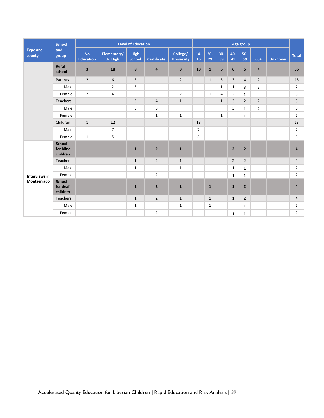|                           | <b>School</b>                          |                               | <b>Level of Education</b> |                              |                         |                               |                |              | Age group    |                |                |                         |                |                |
|---------------------------|----------------------------------------|-------------------------------|---------------------------|------------------------------|-------------------------|-------------------------------|----------------|--------------|--------------|----------------|----------------|-------------------------|----------------|----------------|
| <b>Type and</b><br>county | and<br>group                           | <b>No</b><br><b>Education</b> | Elementary/<br>Jr. High   | <b>High</b><br><b>School</b> | <b>Certificate</b>      | College/<br><b>University</b> | $14-$<br>15    | $20 -$<br>29 | $30-$<br>39  | 40-<br>49      | $50-$<br>59    | $60+$                   | <b>Unknown</b> | <b>Total</b>   |
|                           | Rural<br>school                        | $\overline{\mathbf{3}}$       | 18                        | 8                            | $\overline{\mathbf{4}}$ | $\overline{\mathbf{3}}$       | 13             | $\mathbf{1}$ | 6            | $6\phantom{1}$ | 6              | $\overline{\mathbf{a}}$ |                | 36             |
|                           | Parents                                | $\overline{2}$                | 6                         | 5                            |                         | $\overline{2}$                |                | $\mathbf{1}$ | 5            | 3              | $\overline{4}$ | $\overline{2}$          |                | 15             |
|                           | Male                                   |                               | $\overline{2}$            | 5                            |                         |                               |                |              | $\mathbf{1}$ | $\mathbf{1}$   | $\overline{3}$ | $\overline{2}$          |                | $\overline{7}$ |
|                           | Female                                 | $\overline{2}$                | 4                         |                              |                         | $\overline{2}$                |                | $\mathbf{1}$ | 4            | $\overline{2}$ | $\mathbf{1}$   |                         |                | 8              |
|                           | Teachers                               |                               |                           | 3                            | $\overline{4}$          | $\mathbf{1}$                  |                |              | $\mathbf{1}$ | 3              | $\overline{2}$ | $\overline{2}$          |                | 8              |
|                           | Male                                   |                               |                           | 3                            | 3                       |                               |                |              |              | $\overline{3}$ | $\mathbf{1}$   | $\overline{2}$          |                | 6              |
|                           | Female                                 |                               |                           |                              | $\mathbf 1$             | $\mathbf{1}$                  |                |              | $\mathbf{1}$ |                | $\mathbf{1}$   |                         |                | $\overline{2}$ |
|                           | Children                               | $\mathbf{1}$                  | 12                        |                              |                         |                               | 13             |              |              |                |                |                         |                | 13             |
|                           | Male                                   |                               | $\overline{7}$            |                              |                         |                               | $\overline{7}$ |              |              |                |                |                         |                | $\overline{7}$ |
|                           | Female                                 | $\mathbf{1}$                  | 5                         |                              |                         |                               | 6              |              |              |                |                |                         |                | $\,6\,$        |
|                           | <b>School</b><br>for blind<br>children |                               |                           | $\mathbf{1}$                 | $\overline{2}$          | $\mathbf{1}$                  |                |              |              | $\overline{2}$ | $\overline{2}$ |                         |                | $\overline{4}$ |
|                           | <b>Teachers</b>                        |                               |                           | $\mathbf{1}$                 | $\overline{2}$          | $\mathbf{1}$                  |                |              |              | $\overline{2}$ | $\overline{2}$ |                         |                | $\overline{4}$ |
|                           | Male                                   |                               |                           | $\mathbf{1}$                 |                         | $\mathbf{1}$                  |                |              |              | $\mathbf{1}$   | $\mathbf{1}$   |                         |                | $\overline{2}$ |
| Interviews in             | Female                                 |                               |                           |                              | $\overline{2}$          |                               |                |              |              | $\mathbf{1}$   | $\mathbf{1}$   |                         |                | $\overline{2}$ |
| Montserrado               | <b>School</b><br>for deaf<br>children  |                               |                           | $\mathbf{1}$                 | $\overline{2}$          | $\mathbf{1}$                  |                | $\mathbf{1}$ |              | $\mathbf{1}$   | $\overline{2}$ |                         |                | $\overline{a}$ |
|                           | <b>Teachers</b>                        |                               |                           | $\mathbf{1}$                 | $\overline{2}$          | $\mathbf{1}$                  |                | $\mathbf{1}$ |              | $\mathbf{1}$   | $\overline{2}$ |                         |                | $\overline{4}$ |
|                           | Male                                   |                               |                           | $\mathbf{1}$                 |                         | $\mathbf{1}$                  |                | $\mathbf{1}$ |              |                | $\mathbf{1}$   |                         |                | $\overline{2}$ |
|                           | Female                                 |                               |                           |                              | $\overline{2}$          |                               |                |              |              | $\mathbf{1}$   | $\mathbf{1}$   |                         |                | $\overline{2}$ |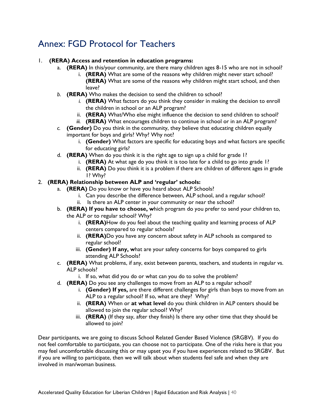# <span id="page-39-0"></span>Annex: FGD Protocol for Teachers

#### 1. **(RERA) Access and retention in education programs:**

- a. **(RERA)** In this/your community, are there many children ages 8-15 who are not in school?
	- i. **(RERA)** What are some of the reasons why children might never start school? **(RERA)** What are some of the reasons why children might start school, and then leave?
- *b.* **(RERA)** Who makes the decision to send the children to school?
	- *i.* **(RERA)** What factors do you think they consider in making the decision to enroll the children in school or an ALP program?
	- ii. **(RERA)** What/Who else might influence the decision to send children to school?
	- *iii.* **(RERA)** What encourages children to continue in school or in an ALP program?
- *c.* **(Gender)** Do you think in the community, they believe that educating children equally important for boys and girls? Why? Why not?
	- i. **(Gender)** What factors are specific for educating boys and what factors are specific for educating girls?
- d. **(RERA)** When do you think it is the right age to sign up a child for grade 1?
	- i. **(RERA)** At what age do you think it is too late for a child to go into grade 1?
		- ii. **(RERA)** Do you think it is a problem if there are children of different ages in grade 1? Why?

#### 2. **(RERA) Relationship between ALP and 'regular' schools:**

- a. **(RERA)** Do you know or have you heard about ALP Schools?
	- i. Can you describe the difference between, ALP school, and a regular school? ii. Is there an ALP center in your community or near the school?
- b. **(RERA) If you have to choose, w**hich program do you prefer to send your children to, the ALP or to regular school? Why?
	- i. **(RERA)**How do you feel about the teaching quality and learning process of ALP centers compared to regular schools?
	- ii. **(RERA)**Do you have any concern about safety in ALP schools as compared to regular school?
	- iii. **(Gender) If any, w**hat are your safety concerns for boys compared to girls attending ALP Schools?
- c. **(RERA)** What problems, if any, exist between parents, teachers, and students in regular vs. ALP schools?
	- i. If so, what did you do or what can you do to solve the problem?
- d. **(RERA)** Do you see any challenges to move from an ALP to a regular school?
	- i. **(Gender) If yes,** are there different challenges for girls than boys to move from an ALP to a regular school? If so, what are they? Why?
	- ii. **(RERA)** When or **at what level** do you think children in ALP centers should be allowed to join the regular school? Why?
	- iii. **(RERA)** (If they say, after they finish) Is there any other time that they should be allowed to join?

Dear participants, we are going to discuss School Related Gender Based Violence (SRGBV). If you do not feel comfortable to participate, you can choose not to participate. One of the risks here is that you may feel uncomfortable discussing this or may upset you if you have experiences related to SRGBV. But if you are willing to participate, then we will talk about when students feel safe and when they are involved in man/woman business.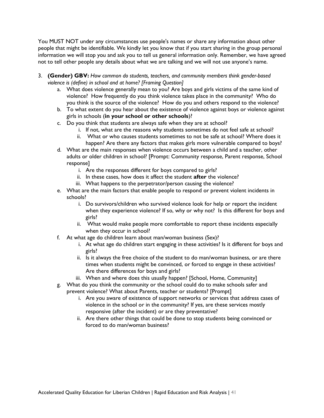You MUST NOT under any circumstances use people's names or share any information about other people that might be identifiable. We kindly let you know that if you start sharing in the group personal information we will stop you and ask you to tell us general information only. Remember, we have agreed not to tell other people any details about what we are talking and we will not use anyone's name.

- 3. **(Gender) GBV:** *How common do students, teachers, and community members think gender-based violence is (define) in school and at home? [Framing Question]*
	- a. What does violence generally mean to you? Are boys and girls victims of the same kind of violence? How frequently do you think violence takes place in the community? Who do you think is the source of the violence? How do you and others respond to the violence?
	- b. To what extent do you hear about the existence of violence against boys or violence against girls in schools (**in your school or other schools**)?
	- c. Do you think that students are always safe when they are at school?
		- i. If not, what are the reasons why students sometimes do not feel safe at school?
		- ii. What or who causes students sometimes to not be safe at school? Where does it happen? Are there any factors that makes girls more vulnerable compared to boys?
	- d. What are the main responses when violence occurs between a child and a teacher, other adults or older children in school? [Prompt: Community response, Parent response, School response]
		- i. Are the responses different for boys compared to girls?
		- ii. In these cases, how does it affect the student **after** the violence?
		- iii. What happens to the perpetrator/person causing the violence?
	- e. What are the main factors that enable people to respond or prevent violent incidents in schools?
		- i. Do survivors/children who survived violence look for help or report the incident when they experience violence? If so, why or why not? Is this different for boys and girls?
		- ii. What would make people more comfortable to report these incidents especially when they occur in school?
	- f. At what age do children learn about man/woman business (Sex)?
		- i. At what age do children start engaging in these activities? Is it different for boys and girls?
		- ii. Is it always the free choice of the student to do man/woman business, or are there times when students might be convinced, or forced to engage in these activities? Are there differences for boys and girls?
		- iii. When and where does this usually happen? [School, Home, Community]
	- g. What do you think the community or the school could do to make schools safer and prevent violence? What about Parents, teacher or students? [Prompt]
		- i. Are you aware of existence of support networks or services that address cases of violence in the school or in the community? If yes, are these services mostly responsive (after the incident) or are they preventative?
		- ii. Are there other things that could be done to stop students being convinced or forced to do man/woman business?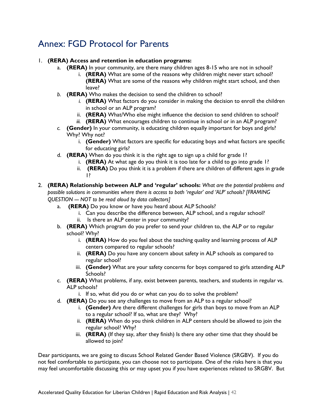# <span id="page-41-0"></span>Annex: FGD Protocol for Parents

#### 1. **(RERA) Access and retention in education programs:**

- a. **(RERA)** In your community, are there many children ages 8-15 who are not in school?
	- i. **(RERA)** What are some of the reasons why children might never start school? **(RERA)** What are some of the reasons why children might start school, and then leave?
- *b.* **(RERA)** Who makes the decision to send the children to school?
	- *i.* **(RERA)** What factors do you consider in making the decision to enroll the children in school or an ALP program?
	- ii. **(RERA)** What/Who else might influence the decision to send children to school?
	- *iii.* **(RERA)** What encourages children to continue in school or in an ALP program?
- *c.* **(Gender)** In your community, is educating children equally important for boys and girls? Why? Why not?
	- i. **(Gender)** What factors are specific for educating boys and what factors are specific for educating girls?
- d. **(RERA)** When do you think it is the right age to sign up a child for grade 1?
	- i. **(RERA)** At what age do you think it is too late for a child to go into grade 1?
		- ii. **(RERA)** Do you think it is a problem if there are children of different ages in grade 1?
- 2. **(RERA) Relationship between ALP and 'regular' schools:** *What are the potential problems and possible solutions in communities where there is access to both 'regular' and 'ALP' schools? [FRAMING QUESTION --- NOT to be read aloud by data collectors]*
	- a. **(RERA)** Do you know or have you heard about ALP Schools?
		- i. Can you describe the difference between, ALP school, and a regular school?
		- ii. Is there an ALP center in your community?
	- b. **(RERA)** Which program do you prefer to send your children to, the ALP or to regular school? Why?
		- i. **(RERA)** How do you feel about the teaching quality and learning process of ALP centers compared to regular schools?
		- ii. **(RERA)** Do you have any concern about safety in ALP schools as compared to regular school?
		- iii. **(Gender)** What are your safety concerns for boys compared to girls attending ALP Schools?
	- c. **(RERA)** What problems, if any, exist between parents, teachers, and students in regular vs. ALP schools?
		- i. If so, what did you do or what can you do to solve the problem?
	- d. **(RERA)** Do you see any challenges to move from an ALP to a regular school?
		- i. **(Gender)** Are there different challenges for girls than boys to move from an ALP to a regular school? If so, what are they? Why?
		- ii. **(RERA)** When do you think children in ALP centers should be allowed to join the regular school? Why?
		- iii. **(RERA)** (If they say, after they finish) Is there any other time that they should be allowed to join?

Dear participants, we are going to discuss School Related Gender Based Violence (SRGBV). If you do not feel comfortable to participate, you can choose not to participate. One of the risks here is that you may feel uncomfortable discussing this or may upset you if you have experiences related to SRGBV. But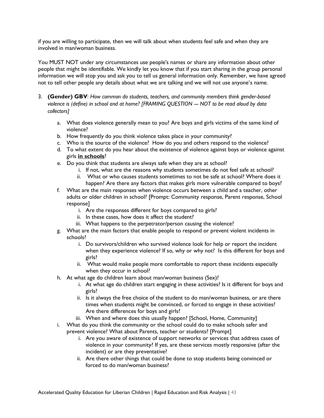if you are willing to participate, then we will talk about when students feel safe and when they are involved in man/woman business.

You MUST NOT under any circumstances use people's names or share any information about other people that might be identifiable. We kindly let you know that if you start sharing in the group personal information we will stop you and ask you to tell us general information only. Remember, we have agreed not to tell other people any details about what we are talking and we will not use anyone's name.

- 3. **(Gender) GBV**: *How common do students, teachers, and community members think gender-based violence is (define) in school and at home? [FRAMING QUESTION --- NOT to be read aloud by data collectors]*
	- a. What does violence generally mean to you? Are boys and girls victims of the same kind of violence?
	- b. How frequently do you think violence takes place in your community?
	- c. Who is the source of the violence? How do you and others respond to the violence?
	- d. To what extent do you hear about the existence of violence against boys or violence against girls **in schools**?
	- e. Do you think that students are always safe when they are at school?
		- i. If not, what are the reasons why students sometimes do not feel safe at school?
		- ii. What or who causes students sometimes to not be safe at school? Where does it happen? Are there any factors that makes girls more vulnerable compared to boys?
	- f. What are the main responses when violence occurs between a child and a teacher, other adults or older children in school? [Prompt: Community response, Parent response, School response]
		- i. Are the responses different for boys compared to girls?
		- ii. In these cases, how does it affect the student?
		- iii. What happens to the perpetrator/person causing the violence?
	- g. What are the main factors that enable people to respond or prevent violent incidents in schools?
		- i. Do survivors/children who survived violence look for help or report the incident when they experience violence? If so, why or why not? Is this different for boys and girls?
		- ii. What would make people more comfortable to report these incidents especially when they occur in school?
	- h. At what age do children learn about man/woman business (Sex)?
		- i. At what age do children start engaging in these activities? Is it different for boys and girls?
		- ii. Is it always the free choice of the student to do man/woman business, or are there times when students might be convinced, or forced to engage in these activities? Are there differences for boys and girls?
		- iii. When and where does this usually happen? [School, Home, Community]
	- i. What do you think the community or the school could do to make schools safer and prevent violence? What about Parents, teacher or students? [Prompt]
		- i. Are you aware of existence of support networks or services that address cases of violence in your community? If yes, are these services mostly responsive (after the incident) or are they preventative?
		- ii. Are there other things that could be done to stop students being convinced or forced to do man/woman business?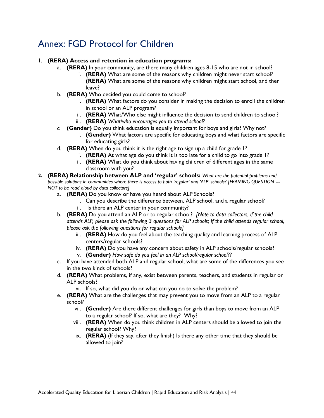# <span id="page-43-0"></span>Annex: FGD Protocol for Children

#### 1. **(RERA) Access and retention in education programs:**

- a. **(RERA)** In your community, are there many children ages 8-15 who are not in school?
	- i. **(RERA)** What are some of the reasons why children might never start school? **(RERA)** What are some of the reasons why children might start school, and then leave?
- b. **(RERA)** Who decided you could come to school?
	- i. **(RERA)** What factors do you consider in making the decision to enroll the children in school or an ALP program?
	- ii. **(RERA)** What/Who else might influence the decision to send children to school?
	- iii. **(RERA)** *What/who encourages you to attend school?*
- *c.* **(Gender)** Do you think education is equally important for boys and girls? Why not?
	- i. **(Gender)** What factors are specific for educating boys and what factors are specific for educating girls?
- d. **(RERA)** When do you think it is the right age to sign up a child for grade 1?
	- i. **(RERA)** At what age do you think it is too late for a child to go into grade 1?
	- ii. **(RERA)** What do you think about having children of different ages in the same classroom with you?
- **2. (RERA) Relationship between ALP and 'regular' schools:** *What are the potential problems and possible solutions in communities where there is access to both 'regular' and 'ALP' schools? [FRAMING QUESTION --NOT to be read aloud by data collectors]*
	- a. **(RERA)** Do you know or have you heard about ALP Schools?
		- i. Can you describe the difference between, ALP school, and a regular school?
		- ii. Is there an ALP center in your community?
	- b. **(RERA)** Do you attend an ALP or to regular school? *[Note to data collectors, if the child attends ALP, please ask the following 3 questions for ALP schools; If the child attends regular school, please ask the following questions for regular schools]*
		- iii. **(RERA)** How do you feel about the teaching quality and learning process of ALP centers/regular schools?
		- iv. **(RERA)** Do you have any concern about safety in ALP schools/regular schools?
		- v. **(Gender)** *How safe do you feel in an ALP school/regular school??*
	- c. If you have attended both ALP and regular school, what are some of the differences you see in the two kinds of schools?
	- d. **(RERA)** What problems, if any, exist between parents, teachers, and students in regular or ALP schools?
		- vi. If so, what did you do or what can you do to solve the problem?
	- e. **(RERA)** What are the challenges that may prevent you to move from an ALP to a regular school?
		- vii. **(Gender)** Are there different challenges for girls than boys to move from an ALP to a regular school? If so, what are they? Why?
		- viii. **(RERA)** When do you think children in ALP centers should be allowed to join the regular school? Why?
		- ix. **(RERA)** (If they say, after they finish) Is there any other time that they should be allowed to join?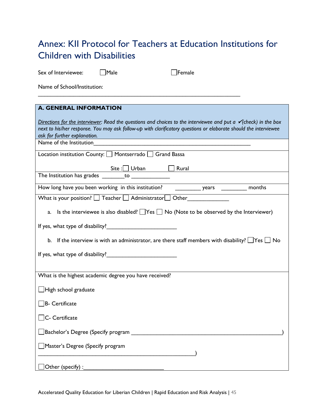# <span id="page-44-0"></span>Annex: KII Protocol for Teachers at Education Institutions for Children with Disabilities

Sex of Interviewee: Male Female

Name of School/Institution:

| <b>A. GENERAL INFORMATION</b>                                                                                                                                                                                                                                                                                                                                                                            |
|----------------------------------------------------------------------------------------------------------------------------------------------------------------------------------------------------------------------------------------------------------------------------------------------------------------------------------------------------------------------------------------------------------|
| Directions for the interviewer: Read the questions and choices to the interviewee and put a $\checkmark$ (check) in the box<br>next to his/her response. You may ask follow-up with clarificatory questions or elaborate should the interviewee<br>ask for further explanation.<br><u> 1989 - Johann Barn, mars ann an Cathair ann an t-Aonaichte ann an t-Aonaichte ann an t-Aonaichte ann an t-Aon</u> |
| Name of the Institution                                                                                                                                                                                                                                                                                                                                                                                  |
| Location institution County: Montserrado Grand Bassa                                                                                                                                                                                                                                                                                                                                                     |
| Rural<br>$\frac{\mathsf{Site}}{\mathsf{Set}}$ Urban<br>The Institution has grades ________ to _______________                                                                                                                                                                                                                                                                                            |
|                                                                                                                                                                                                                                                                                                                                                                                                          |
| How long have you been working in this institution? _____________ years ___________ months                                                                                                                                                                                                                                                                                                               |
| What is your position? I Teacher Administrator J Other                                                                                                                                                                                                                                                                                                                                                   |
| Is the interviewee is also disabled? $\Box$ Yes $\Box$ No (Note to be observed by the Interviewer)<br>a.                                                                                                                                                                                                                                                                                                 |
|                                                                                                                                                                                                                                                                                                                                                                                                          |
| b. If the interview is with an administrator, are there staff members with disability? $\Box$ Yes $\Box$ No                                                                                                                                                                                                                                                                                              |
|                                                                                                                                                                                                                                                                                                                                                                                                          |
|                                                                                                                                                                                                                                                                                                                                                                                                          |
| What is the highest academic degree you have received?                                                                                                                                                                                                                                                                                                                                                   |
| $\Box$ High school graduate                                                                                                                                                                                                                                                                                                                                                                              |
| B- Certificate                                                                                                                                                                                                                                                                                                                                                                                           |
| C- Certificate                                                                                                                                                                                                                                                                                                                                                                                           |
| ]Bachelor's Degree (Specify program ___________________________                                                                                                                                                                                                                                                                                                                                          |
| Master's Degree (Specify program                                                                                                                                                                                                                                                                                                                                                                         |
| Other (specify) :                                                                                                                                                                                                                                                                                                                                                                                        |

Accelerated Quality Education for Liberian Children | Rapid Education and Risk Analysis | 45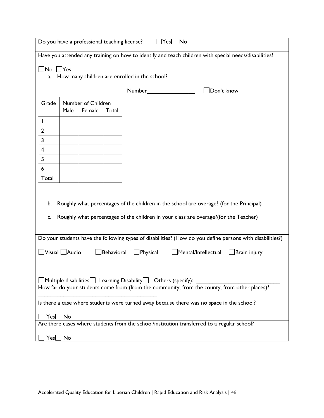|                                                                                                                                                                                                   | Do you have a professional teaching license?<br>$ Yes $ No                                            |                    |            |                                                                                                                                                                                                                                |              |  |  |  |  |
|---------------------------------------------------------------------------------------------------------------------------------------------------------------------------------------------------|-------------------------------------------------------------------------------------------------------|--------------------|------------|--------------------------------------------------------------------------------------------------------------------------------------------------------------------------------------------------------------------------------|--------------|--|--|--|--|
|                                                                                                                                                                                                   | Have you attended any training on how to identify and teach children with special needs/disabilities? |                    |            |                                                                                                                                                                                                                                |              |  |  |  |  |
| No                                                                                                                                                                                                | Yes                                                                                                   |                    |            |                                                                                                                                                                                                                                |              |  |  |  |  |
| a.                                                                                                                                                                                                |                                                                                                       |                    |            | How many children are enrolled in the school?                                                                                                                                                                                  |              |  |  |  |  |
|                                                                                                                                                                                                   |                                                                                                       |                    |            | Number and the state of the state of the state of the state of the state of the state of the state of the state of the state of the state of the state of the state of the state of the state of the state of the state of the | Don't know   |  |  |  |  |
|                                                                                                                                                                                                   |                                                                                                       |                    |            |                                                                                                                                                                                                                                |              |  |  |  |  |
| Grade                                                                                                                                                                                             |                                                                                                       | Number of Children |            |                                                                                                                                                                                                                                |              |  |  |  |  |
|                                                                                                                                                                                                   | Male                                                                                                  | Female             | Total      |                                                                                                                                                                                                                                |              |  |  |  |  |
| I                                                                                                                                                                                                 |                                                                                                       |                    |            |                                                                                                                                                                                                                                |              |  |  |  |  |
| $\mathbf{2}$                                                                                                                                                                                      |                                                                                                       |                    |            |                                                                                                                                                                                                                                |              |  |  |  |  |
| 3                                                                                                                                                                                                 |                                                                                                       |                    |            |                                                                                                                                                                                                                                |              |  |  |  |  |
| 4                                                                                                                                                                                                 |                                                                                                       |                    |            |                                                                                                                                                                                                                                |              |  |  |  |  |
| 5                                                                                                                                                                                                 |                                                                                                       |                    |            |                                                                                                                                                                                                                                |              |  |  |  |  |
| 6                                                                                                                                                                                                 |                                                                                                       |                    |            |                                                                                                                                                                                                                                |              |  |  |  |  |
| Total                                                                                                                                                                                             |                                                                                                       |                    |            |                                                                                                                                                                                                                                |              |  |  |  |  |
|                                                                                                                                                                                                   |                                                                                                       |                    |            |                                                                                                                                                                                                                                |              |  |  |  |  |
|                                                                                                                                                                                                   |                                                                                                       |                    |            |                                                                                                                                                                                                                                |              |  |  |  |  |
| b.                                                                                                                                                                                                |                                                                                                       |                    |            | Roughly what percentages of the children in the school are overage? (for the Principal)                                                                                                                                        |              |  |  |  |  |
| c.                                                                                                                                                                                                |                                                                                                       |                    |            | Roughly what percentages of the children in your class are overage?(for the Teacher)                                                                                                                                           |              |  |  |  |  |
|                                                                                                                                                                                                   |                                                                                                       |                    |            |                                                                                                                                                                                                                                |              |  |  |  |  |
|                                                                                                                                                                                                   |                                                                                                       |                    |            | Do your students have the following types of disabilities? (How do you define persons with disabilities?)                                                                                                                      |              |  |  |  |  |
|                                                                                                                                                                                                   |                                                                                                       |                    |            |                                                                                                                                                                                                                                |              |  |  |  |  |
| $\Box$ Visual $\Box$ Audio                                                                                                                                                                        |                                                                                                       |                    | Behavioral | $\Box$ Physical<br>Mental/Intellectual                                                                                                                                                                                         | Brain injury |  |  |  |  |
|                                                                                                                                                                                                   |                                                                                                       |                    |            |                                                                                                                                                                                                                                |              |  |  |  |  |
|                                                                                                                                                                                                   |                                                                                                       |                    |            |                                                                                                                                                                                                                                |              |  |  |  |  |
| $\vert$ Multiple disabilities $\vert\_\vert$ Learning Disability $\vert\_\vert$ Others (specify):<br>How far do your students come from (from the community, from the county, from other places)? |                                                                                                       |                    |            |                                                                                                                                                                                                                                |              |  |  |  |  |
|                                                                                                                                                                                                   |                                                                                                       |                    |            |                                                                                                                                                                                                                                |              |  |  |  |  |
|                                                                                                                                                                                                   | Is there a case where students were turned away because there was no space in the school?             |                    |            |                                                                                                                                                                                                                                |              |  |  |  |  |
|                                                                                                                                                                                                   |                                                                                                       |                    |            |                                                                                                                                                                                                                                |              |  |  |  |  |
| $Yes$ No                                                                                                                                                                                          |                                                                                                       |                    |            | Are there cases where students from the school/institution transferred to a regular school?                                                                                                                                    |              |  |  |  |  |
|                                                                                                                                                                                                   |                                                                                                       |                    |            |                                                                                                                                                                                                                                |              |  |  |  |  |
| Yesl                                                                                                                                                                                              | $\Box$ No                                                                                             |                    |            |                                                                                                                                                                                                                                |              |  |  |  |  |